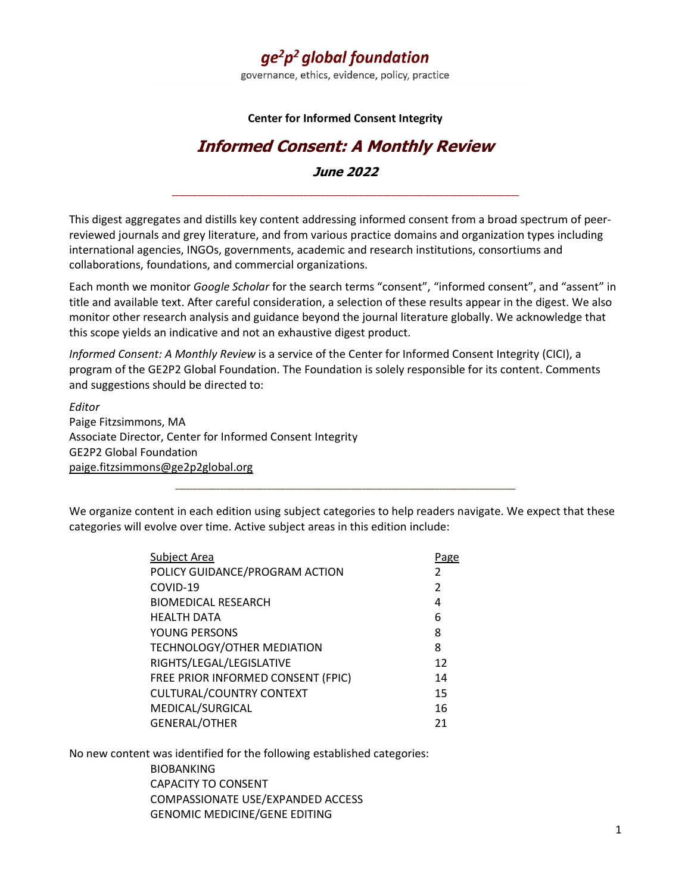# $qe<sup>2</sup>p<sup>2</sup>$  global foundation

governance, ethics, evidence, policy, practice

#### **Center for Informed Consent Integrity**

# **Informed Consent: A Monthly Review**

**June 2022 \_\_\_\_\_\_\_\_\_\_\_\_\_\_\_\_\_\_\_\_\_\_\_\_\_\_\_\_\_\_\_\_\_\_\_\_\_\_\_\_\_\_\_\_\_\_\_\_\_\_\_\_\_\_\_\_\_\_\_\_\_\_\_\_\_\_\_\_\_\_\_\_\_\_\_\_\_\_\_\_\_\_\_\_\_\_\_\_\_\_\_\_\_\_\_**

This digest aggregates and distills key content addressing informed consent from a broad spectrum of peerreviewed journals and grey literature, and from various practice domains and organization types including international agencies, INGOs, governments, academic and research institutions, consortiums and collaborations, foundations, and commercial organizations.

Each month we monitor *Google Scholar* for the search terms "consent", "informed consent", and "assent" in title and available text. After careful consideration, a selection of these results appear in the digest. We also monitor other research analysis and guidance beyond the journal literature globally. We acknowledge that this scope yields an indicative and not an exhaustive digest product.

*Informed Consent: A Monthly Review* is a service of the Center for Informed Consent Integrity (CICI), a program of the [GE2P2 Global Foundation.](file:///C:/Users/ge2p2global/Dropbox/GE2P2%20-%20Sentinel/ge2p2.0rg) The Foundation is solely responsible for its content. Comments and suggestions should be directed to:

*Editor* Paige Fitzsimmons, MA Associate Director, Center for Informed Consent Integrity GE2P2 Global Foundation [paige.fitzsimmons@ge2p2global.org](mailto:paige.fitzsimmons@ge2p2global.org)

We organize content in each edition using subject categories to help readers navigate. We expect that these categories will evolve over time. Active subject areas in this edition include:

**\_\_\_\_\_\_\_\_\_\_\_\_\_\_\_\_\_\_\_\_\_\_\_\_\_\_\_\_\_\_\_\_\_\_\_\_\_\_\_\_\_\_\_\_\_\_\_\_\_\_\_\_\_\_\_\_\_\_\_\_\_\_\_\_\_\_\_\_\_\_\_\_\_\_\_\_\_\_\_\_\_\_\_\_\_\_\_\_\_\_\_\_\_**

| Subject Area                       | Page           |
|------------------------------------|----------------|
| POLICY GUIDANCE/PROGRAM ACTION     | 2              |
| COVID-19                           | $\overline{2}$ |
| <b>BIOMEDICAL RESEARCH</b>         | 4              |
| <b>HEALTH DATA</b>                 | 6              |
| YOUNG PERSONS                      | 8              |
| TECHNOLOGY/OTHER MEDIATION         | 8              |
| RIGHTS/LEGAL/LEGISLATIVE           | 12             |
| FREE PRIOR INFORMED CONSENT (FPIC) | 14             |
| <b>CULTURAL/COUNTRY CONTEXT</b>    | 15             |
| MEDICAL/SURGICAL                   | 16             |
| <b>GENERAL/OTHER</b>               | 21             |
|                                    |                |

No new content was identified for the following established categories: BIOBANKING CAPACITY TO CONSENT COMPASSIONATE USE/EXPANDED ACCESS GENOMIC MEDICINE/GENE EDITING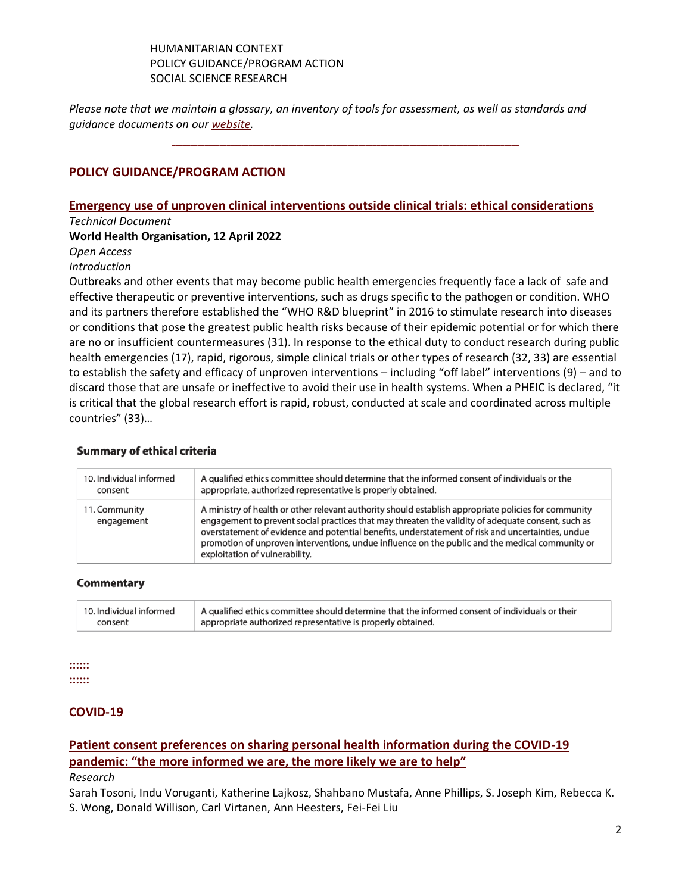#### HUMANITARIAN CONTEXT POLICY GUIDANCE/PROGRAM ACTION SOCIAL SCIENCE RESEARCH

*Please note that we maintain a glossary, an inventory of tools for assessment, as well as standards and guidance documents on ou[r website.](https://ge2p2global-centerforinformedconsentintegrity.org/)* 

**\_\_\_\_\_\_\_\_\_\_\_\_\_\_\_\_\_\_\_\_\_\_\_\_\_\_\_\_\_\_\_\_\_\_\_\_\_\_\_\_\_\_\_\_\_\_\_\_\_\_\_\_\_\_\_\_\_\_\_\_\_\_\_\_\_\_\_\_\_\_\_\_\_\_\_\_\_\_\_\_\_\_\_\_\_\_\_\_\_\_\_\_\_\_\_**

# **POLICY GUIDANCE/PROGRAM ACTION**

#### **[Emergency use of unproven clinical interventions outside clinical trials: ethical considerations](https://apps.who.int/iris/bitstream/handle/10665/352902/9789240041745-eng.pdf)** *Technical Document*

#### **World Health Organisation, 12 April 2022**

*Open Access*

# *Introduction*

Outbreaks and other events that may become public health emergencies frequently face a lack of safe and effective therapeutic or preventive interventions, such as drugs specific to the pathogen or condition. WHO and its partners therefore established the "WHO R&D blueprint" in 2016 to stimulate research into diseases or conditions that pose the greatest public health risks because of their epidemic potential or for which there are no or insufficient countermeasures (31). In response to the ethical duty to conduct research during public health emergencies (17), rapid, rigorous, simple clinical trials or other types of research (32, 33) are essential to establish the safety and efficacy of unproven interventions – including "off label" interventions (9) – and to discard those that are unsafe or ineffective to avoid their use in health systems. When a PHEIC is declared, "it is critical that the global research effort is rapid, robust, conducted at scale and coordinated across multiple countries" (33)…

#### **Summary of ethical criteria**

| 10. Individual informed     | A qualified ethics committee should determine that the informed consent of individuals or the                                                                                                                                                                                                                                                                                                                                                        |
|-----------------------------|------------------------------------------------------------------------------------------------------------------------------------------------------------------------------------------------------------------------------------------------------------------------------------------------------------------------------------------------------------------------------------------------------------------------------------------------------|
| consent                     | appropriate, authorized representative is properly obtained.                                                                                                                                                                                                                                                                                                                                                                                         |
| 11. Community<br>engagement | A ministry of health or other relevant authority should establish appropriate policies for community<br>engagement to prevent social practices that may threaten the validity of adequate consent, such as<br>overstatement of evidence and potential benefits, understatement of risk and uncertainties, undue<br>promotion of unproven interventions, undue influence on the public and the medical community or<br>exploitation of vulnerability. |

#### **Commentary**

| 10. Individual informed | A qualified ethics committee should determine that the informed consent of individuals or their |
|-------------------------|-------------------------------------------------------------------------------------------------|
| consent                 | appropriate authorized representative is properly obtained.                                     |

#### **:::::: ::::::**

## **COVID-19**

## **[Patient consent preferences on sharing personal health information during the COVID-19](https://bmcmedethics.biomedcentral.com/articles/10.1186/s12910-022-00790-z)  [pandemic: "the more informed we are, the more likely we are to help"](https://bmcmedethics.biomedcentral.com/articles/10.1186/s12910-022-00790-z)** *Research*

Sarah Tosoni, Indu Voruganti, Katherine Lajkosz, Shahbano Mustafa, Anne Phillips, S. Joseph Kim, Rebecca K. S. Wong, Donald Willison, Carl Virtanen, Ann Heesters, Fei-Fei Liu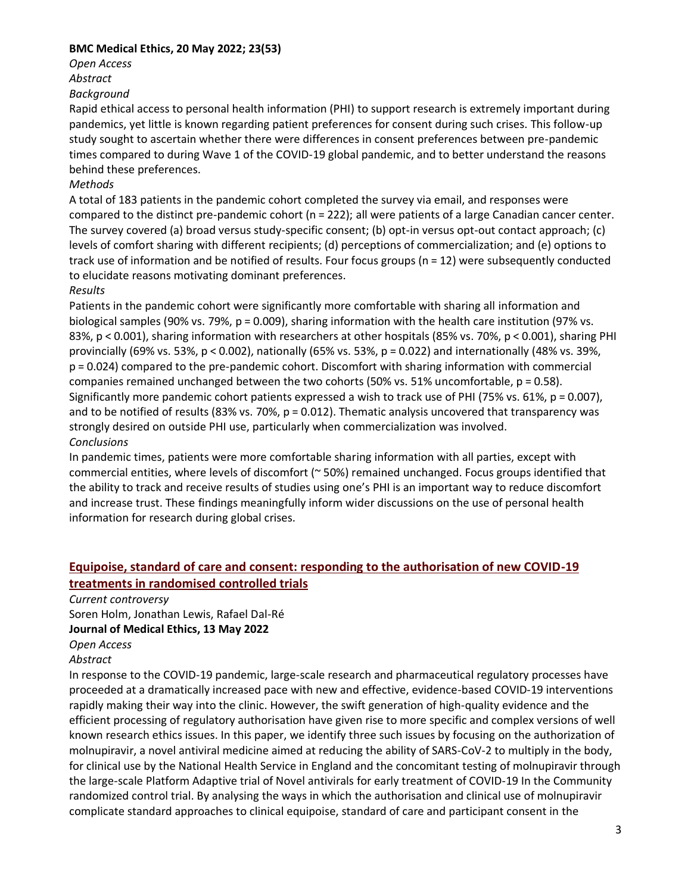#### **BMC Medical Ethics, 20 May 2022; 23(53)**

*Open Access*

*Abstract*

#### *Background*

Rapid ethical access to personal health information (PHI) to support research is extremely important during pandemics, yet little is known regarding patient preferences for consent during such crises. This follow-up study sought to ascertain whether there were differences in consent preferences between pre-pandemic times compared to during Wave 1 of the COVID-19 global pandemic, and to better understand the reasons behind these preferences.

#### *Methods*

A total of 183 patients in the pandemic cohort completed the survey via email, and responses were compared to the distinct pre-pandemic cohort (n = 222); all were patients of a large Canadian cancer center. The survey covered (a) broad versus study-specific consent; (b) opt-in versus opt-out contact approach; (c) levels of comfort sharing with different recipients; (d) perceptions of commercialization; and (e) options to track use of information and be notified of results. Four focus groups (n = 12) were subsequently conducted to elucidate reasons motivating dominant preferences.

#### *Results*

Patients in the pandemic cohort were significantly more comfortable with sharing all information and biological samples (90% vs. 79%, p = 0.009), sharing information with the health care institution (97% vs. 83%, p < 0.001), sharing information with researchers at other hospitals (85% vs. 70%, p < 0.001), sharing PHI provincially (69% vs. 53%, p < 0.002), nationally (65% vs. 53%, p = 0.022) and internationally (48% vs. 39%, p = 0.024) compared to the pre-pandemic cohort. Discomfort with sharing information with commercial companies remained unchanged between the two cohorts (50% vs. 51% uncomfortable, p = 0.58). Significantly more pandemic cohort patients expressed a wish to track use of PHI (75% vs. 61%, p = 0.007), and to be notified of results (83% vs. 70%, p = 0.012). Thematic analysis uncovered that transparency was strongly desired on outside PHI use, particularly when commercialization was involved. *Conclusions*

In pandemic times, patients were more comfortable sharing information with all parties, except with commercial entities, where levels of discomfort (~ 50%) remained unchanged. Focus groups identified that the ability to track and receive results of studies using one's PHI is an important way to reduce discomfort and increase trust. These findings meaningfully inform wider discussions on the use of personal health information for research during global crises.

# **[Equipoise, standard of care and consent: responding to the authorisation of new COVID-19](https://philarchive.org/archive/HOLESO-6)  [treatments in randomised controlled trials](https://philarchive.org/archive/HOLESO-6)**

*Current controversy* Soren Holm, Jonathan Lewis, Rafael Dal-Ré **Journal of Medical Ethics, 13 May 2022** *Open Access*

#### *Abstract*

In response to the COVID-19 pandemic, large-scale research and pharmaceutical regulatory processes have proceeded at a dramatically increased pace with new and effective, evidence-based COVID-19 interventions rapidly making their way into the clinic. However, the swift generation of high-quality evidence and the efficient processing of regulatory authorisation have given rise to more specific and complex versions of well known research ethics issues. In this paper, we identify three such issues by focusing on the authorization of molnupiravir, a novel antiviral medicine aimed at reducing the ability of SARS-CoV-2 to multiply in the body, for clinical use by the National Health Service in England and the concomitant testing of molnupiravir through the large-scale Platform Adaptive trial of Novel antivirals for early treatment of COVID-19 In the Community randomized control trial. By analysing the ways in which the authorisation and clinical use of molnupiravir complicate standard approaches to clinical equipoise, standard of care and participant consent in the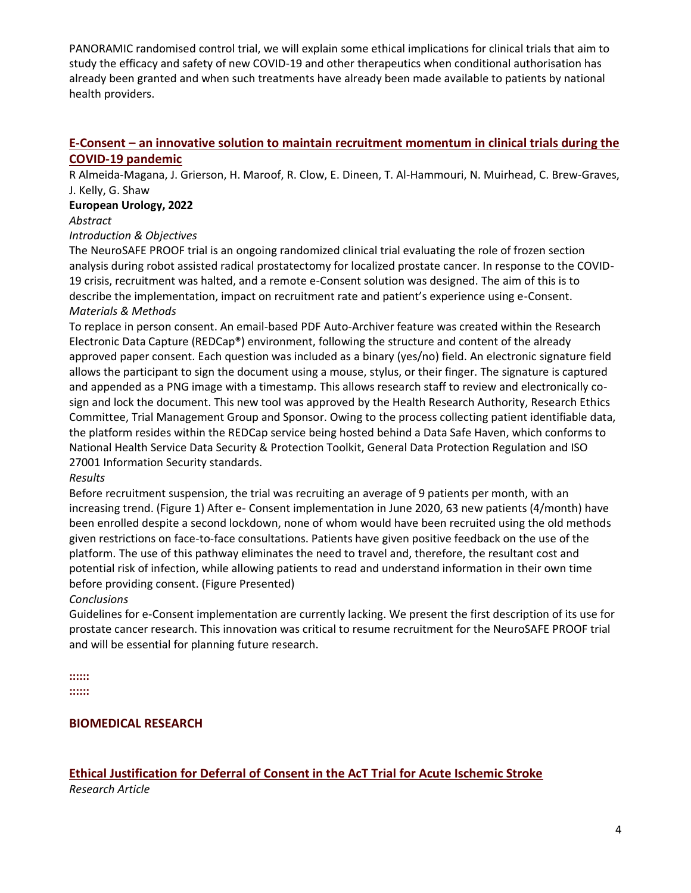PANORAMIC randomised control trial, we will explain some ethical implications for clinical trials that aim to study the efficacy and safety of new COVID-19 and other therapeutics when conditional authorisation has already been granted and when such treatments have already been made available to patients by national health providers.

# **E-Consent – [an innovative solution to maintain recruitment momentum in clinical trials during the](https://pesquisa.bvsalud.org/global-literature-on-novel-coronavirus-2019-ncov/resource/pt/covidwho-1721165)  [COVID-19 pandemic](https://pesquisa.bvsalud.org/global-literature-on-novel-coronavirus-2019-ncov/resource/pt/covidwho-1721165)**

R Almeida-Magana, J. Grierson, H. Maroof, R. Clow, E. Dineen, T. Al-Hammouri, N. Muirhead, C. Brew-Graves, J. Kelly, G. Shaw

#### **European Urology, 2022**

#### *Abstract*

#### *Introduction & Objectives*

The NeuroSAFE PROOF trial is an ongoing randomized clinical trial evaluating the role of frozen section analysis during robot assisted radical prostatectomy for localized prostate cancer. In response to the COVID-19 crisis, recruitment was halted, and a remote e-Consent solution was designed. The aim of this is to describe the implementation, impact on recruitment rate and patient's experience using e-Consent. *Materials & Methods*

To replace in person consent. An email-based PDF Auto-Archiver feature was created within the Research Electronic Data Capture (REDCap®) environment, following the structure and content of the already approved paper consent. Each question was included as a binary (yes/no) field. An electronic signature field allows the participant to sign the document using a mouse, stylus, or their finger. The signature is captured and appended as a PNG image with a timestamp. This allows research staff to review and electronically cosign and lock the document. This new tool was approved by the Health Research Authority, Research Ethics Committee, Trial Management Group and Sponsor. Owing to the process collecting patient identifiable data, the platform resides within the REDCap service being hosted behind a Data Safe Haven, which conforms to National Health Service Data Security & Protection Toolkit, General Data Protection Regulation and ISO 27001 Information Security standards.

## *Results*

Before recruitment suspension, the trial was recruiting an average of 9 patients per month, with an increasing trend. (Figure 1) After e- Consent implementation in June 2020, 63 new patients (4/month) have been enrolled despite a second lockdown, none of whom would have been recruited using the old methods given restrictions on face-to-face consultations. Patients have given positive feedback on the use of the platform. The use of this pathway eliminates the need to travel and, therefore, the resultant cost and potential risk of infection, while allowing patients to read and understand information in their own time before providing consent. (Figure Presented)

## *Conclusions*

Guidelines for e-Consent implementation are currently lacking. We present the first description of its use for prostate cancer research. This innovation was critical to resume recruitment for the NeuroSAFE PROOF trial and will be essential for planning future research.

**:::::: ::::::**

## **BIOMEDICAL RESEARCH**

# **[Ethical Justification for Deferral of Consent in the AcT Trial for Acute Ischemic Stroke](https://www.ahajournals.org/doi/abs/10.1161/STROKEAHA.122.038760)**

*Research Article*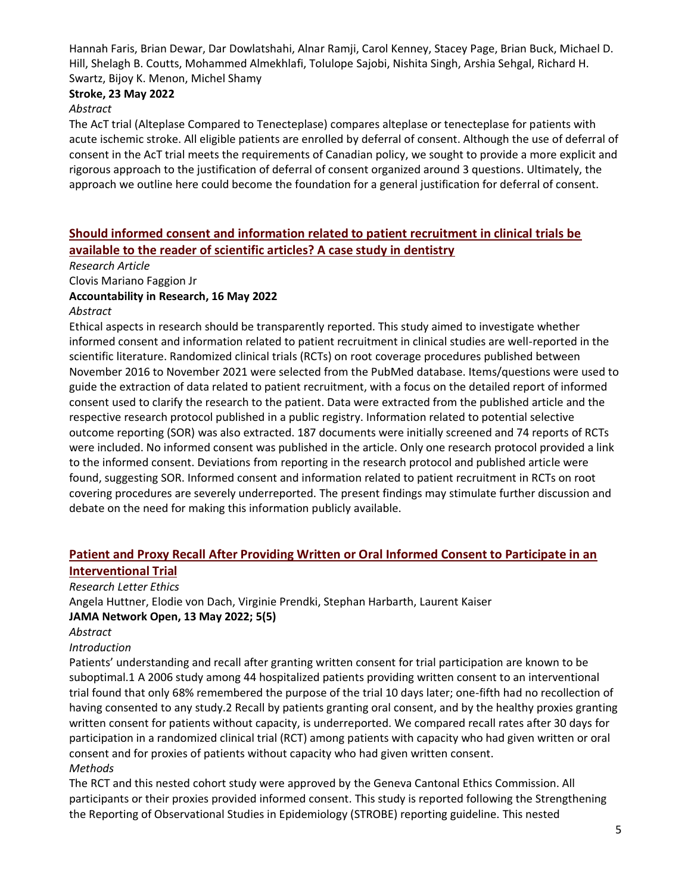Hannah Faris, Brian Dewar, Dar Dowlatshahi, Alnar Ramji, Carol Kenney, Stacey Page, Brian Buck, Michael D. Hill, Shelagh B. Coutts, Mohammed Almekhlafi, Tolulope Sajobi, Nishita Singh, Arshia Sehgal, Richard H. Swartz, Bijoy K. Menon, Michel Shamy

#### **Stroke, 23 May 2022**

#### *Abstract*

The AcT trial (Alteplase Compared to Tenecteplase) compares alteplase or tenecteplase for patients with acute ischemic stroke. All eligible patients are enrolled by deferral of consent. Although the use of deferral of consent in the AcT trial meets the requirements of Canadian policy, we sought to provide a more explicit and rigorous approach to the justification of deferral of consent organized around 3 questions. Ultimately, the approach we outline here could become the foundation for a general justification for deferral of consent.

# **[Should informed consent and information related to patient recruitment in clinical trials be](https://www.tandfonline.com/doi/abs/10.1080/08989621.2022.2078711)  [available to the reader of scientific articles? A case study in dentistry](https://www.tandfonline.com/doi/abs/10.1080/08989621.2022.2078711)**

*Research Article*

Clovis Mariano Faggion Jr

#### **Accountability in Research, 16 May 2022**

#### *Abstract*

Ethical aspects in research should be transparently reported. This study aimed to investigate whether informed consent and information related to patient recruitment in clinical studies are well-reported in the scientific literature. Randomized clinical trials (RCTs) on root coverage procedures published between November 2016 to November 2021 were selected from the PubMed database. Items/questions were used to guide the extraction of data related to patient recruitment, with a focus on the detailed report of informed consent used to clarify the research to the patient. Data were extracted from the published article and the respective research protocol published in a public registry. Information related to potential selective outcome reporting (SOR) was also extracted. 187 documents were initially screened and 74 reports of RCTs were included. No informed consent was published in the article. Only one research protocol provided a link to the informed consent. Deviations from reporting in the research protocol and published article were found, suggesting SOR. Informed consent and information related to patient recruitment in RCTs on root covering procedures are severely underreported. The present findings may stimulate further discussion and debate on the need for making this information publicly available.

# **[Patient and Proxy Recall After Providing Written or Oral Informed Consent to Participate in an](https://jamanetwork.com/journals/jamanetworkopen/fullarticle/2792293)  [Interventional Trial](https://jamanetwork.com/journals/jamanetworkopen/fullarticle/2792293)**

*Research Letter Ethics*

Angela Huttner, Elodie von Dach, Virginie Prendki, Stephan Harbarth, Laurent Kaiser **JAMA Network Open, 13 May 2022; 5(5)**

#### *Abstract*

#### *Introduction*

Patients' understanding and recall after granting written consent for trial participation are known to be suboptimal.1 A 2006 study among 44 hospitalized patients providing written consent to an interventional trial found that only 68% remembered the purpose of the trial 10 days later; one-fifth had no recollection of having consented to any study.2 Recall by patients granting oral consent, and by the healthy proxies granting written consent for patients without capacity, is underreported. We compared recall rates after 30 days for participation in a randomized clinical trial (RCT) among patients with capacity who had given written or oral consent and for proxies of patients without capacity who had given written consent. *Methods*

The RCT and this nested cohort study were approved by the Geneva Cantonal Ethics Commission. All participants or their proxies provided informed consent. This study is reported following the Strengthening the Reporting of Observational Studies in Epidemiology (STROBE) reporting guideline. This nested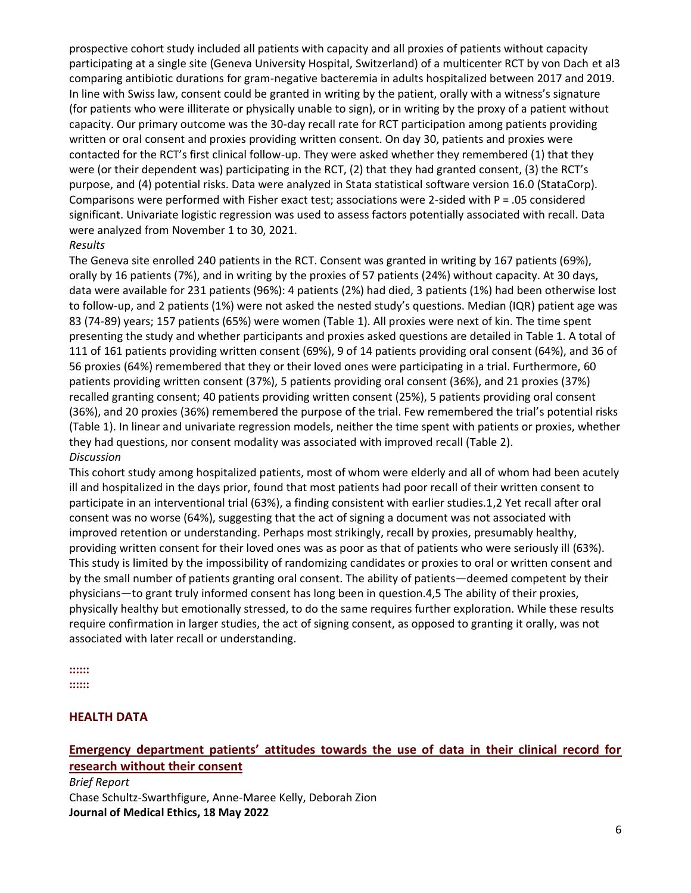prospective cohort study included all patients with capacity and all proxies of patients without capacity participating at a single site (Geneva University Hospital, Switzerland) of a multicenter RCT by von Dach et al3 comparing antibiotic durations for gram-negative bacteremia in adults hospitalized between 2017 and 2019. In line with Swiss law, consent could be granted in writing by the patient, orally with a witness's signature (for patients who were illiterate or physically unable to sign), or in writing by the proxy of a patient without capacity. Our primary outcome was the 30-day recall rate for RCT participation among patients providing written or oral consent and proxies providing written consent. On day 30, patients and proxies were contacted for the RCT's first clinical follow-up. They were asked whether they remembered (1) that they were (or their dependent was) participating in the RCT, (2) that they had granted consent, (3) the RCT's purpose, and (4) potential risks. Data were analyzed in Stata statistical software version 16.0 (StataCorp). Comparisons were performed with Fisher exact test; associations were 2-sided with P = .05 considered significant. Univariate logistic regression was used to assess factors potentially associated with recall. Data were analyzed from November 1 to 30, 2021.

#### *Results*

The Geneva site enrolled 240 patients in the RCT. Consent was granted in writing by 167 patients (69%), orally by 16 patients (7%), and in writing by the proxies of 57 patients (24%) without capacity. At 30 days, data were available for 231 patients (96%): 4 patients (2%) had died, 3 patients (1%) had been otherwise lost to follow-up, and 2 patients (1%) were not asked the nested study's questions. Median (IQR) patient age was 83 (74-89) years; 157 patients (65%) were women (Table 1). All proxies were next of kin. The time spent presenting the study and whether participants and proxies asked questions are detailed in Table 1. A total of 111 of 161 patients providing written consent (69%), 9 of 14 patients providing oral consent (64%), and 36 of 56 proxies (64%) remembered that they or their loved ones were participating in a trial. Furthermore, 60 patients providing written consent (37%), 5 patients providing oral consent (36%), and 21 proxies (37%) recalled granting consent; 40 patients providing written consent (25%), 5 patients providing oral consent (36%), and 20 proxies (36%) remembered the purpose of the trial. Few remembered the trial's potential risks (Table 1). In linear and univariate regression models, neither the time spent with patients or proxies, whether they had questions, nor consent modality was associated with improved recall (Table 2). *Discussion*

This cohort study among hospitalized patients, most of whom were elderly and all of whom had been acutely ill and hospitalized in the days prior, found that most patients had poor recall of their written consent to participate in an interventional trial (63%), a finding consistent with earlier studies.1,2 Yet recall after oral consent was no worse (64%), suggesting that the act of signing a document was not associated with improved retention or understanding. Perhaps most strikingly, recall by proxies, presumably healthy, providing written consent for their loved ones was as poor as that of patients who were seriously ill (63%). This study is limited by the impossibility of randomizing candidates or proxies to oral or written consent and by the small number of patients granting oral consent. The ability of patients—deemed competent by their physicians—to grant truly informed consent has long been in question.4,5 The ability of their proxies, physically healthy but emotionally stressed, to do the same requires further exploration. While these results require confirmation in larger studies, the act of signing consent, as opposed to granting it orally, was not associated with later recall or understanding.

**::::::**

**::::::**

## **HEALTH DATA**

# **[Emergency department patients' attitudes towards the use of data in their clinical record for](https://jme.bmj.com/content/early/2022/05/17/medethics-2021-108026.abstract)  [research without their consent](https://jme.bmj.com/content/early/2022/05/17/medethics-2021-108026.abstract)**

*Brief Report* Chase Schultz-Swarthfigure, Anne-Maree Kelly, Deborah Zion **Journal of Medical Ethics, 18 May 2022**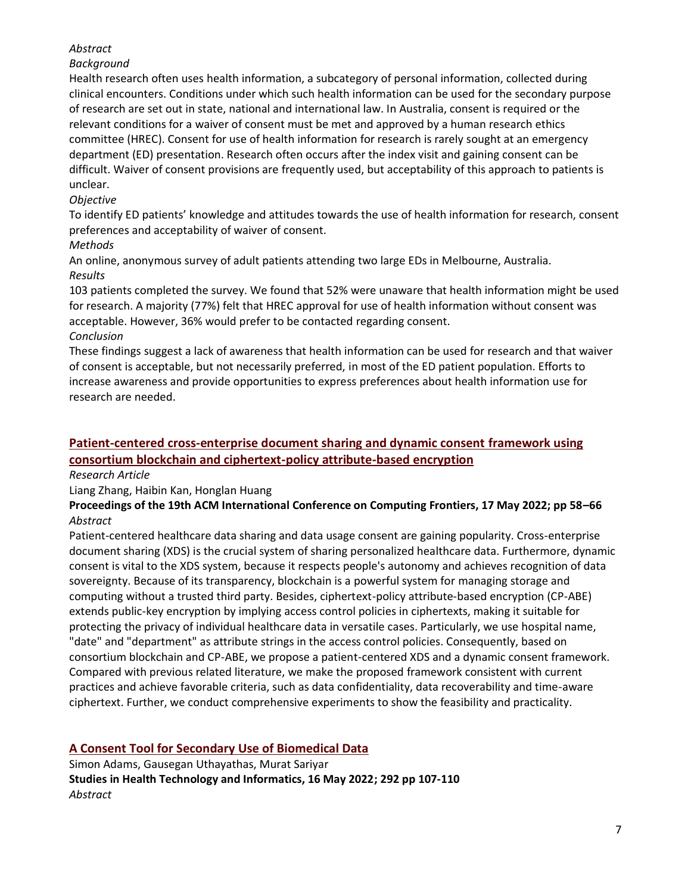# *Abstract*

# *Background*

Health research often uses health information, a subcategory of personal information, collected during clinical encounters. Conditions under which such health information can be used for the secondary purpose of research are set out in state, national and international law. In Australia, consent is required or the relevant conditions for a waiver of consent must be met and approved by a human research ethics committee (HREC). Consent for use of health information for research is rarely sought at an emergency department (ED) presentation. Research often occurs after the index visit and gaining consent can be difficult. Waiver of consent provisions are frequently used, but acceptability of this approach to patients is unclear.

# *Objective*

To identify ED patients' knowledge and attitudes towards the use of health information for research, consent preferences and acceptability of waiver of consent.

## *Methods*

An online, anonymous survey of adult patients attending two large EDs in Melbourne, Australia. *Results* 

103 patients completed the survey. We found that 52% were unaware that health information might be used for research. A majority (77%) felt that HREC approval for use of health information without consent was acceptable. However, 36% would prefer to be contacted regarding consent. *Conclusion* 

These findings suggest a lack of awareness that health information can be used for research and that waiver of consent is acceptable, but not necessarily preferred, in most of the ED patient population. Efforts to increase awareness and provide opportunities to express preferences about health information use for research are needed.

# **[Patient-centered cross-enterprise document sharing and dynamic consent framework using](https://dl.acm.org/doi/abs/10.1145/3528416.3530228)  [consortium blockchain and ciphertext-policy attribute-based encryption](https://dl.acm.org/doi/abs/10.1145/3528416.3530228)**

*Research Article*

Liang Zhang, Haibin Kan, Honglan Huang

**Proceedings of the 19th ACM International Conference on Computing Frontiers, 17 May 2022; pp 58–66** *Abstract*

Patient-centered healthcare data sharing and data usage consent are gaining popularity. Cross-enterprise document sharing (XDS) is the crucial system of sharing personalized healthcare data. Furthermore, dynamic consent is vital to the XDS system, because it respects people's autonomy and achieves recognition of data sovereignty. Because of its transparency, blockchain is a powerful system for managing storage and computing without a trusted third party. Besides, ciphertext-policy attribute-based encryption (CP-ABE) extends public-key encryption by implying access control policies in ciphertexts, making it suitable for protecting the privacy of individual healthcare data in versatile cases. Particularly, we use hospital name, "date" and "department" as attribute strings in the access control policies. Consequently, based on consortium blockchain and CP-ABE, we propose a patient-centered XDS and a dynamic consent framework. Compared with previous related literature, we make the proposed framework consistent with current practices and achieve favorable criteria, such as data confidentiality, data recoverability and time-aware ciphertext. Further, we conduct comprehensive experiments to show the feasibility and practicality.

# **[A Consent Tool for Secondary Use of Biomedical Data](https://pubmed.ncbi.nlm.nih.gov/35575858/)**

Simon Adams, Gausegan Uthayathas, Murat Sariyar **Studies in Health Technology and Informatics, 16 May 2022; 292 pp 107-110** *Abstract*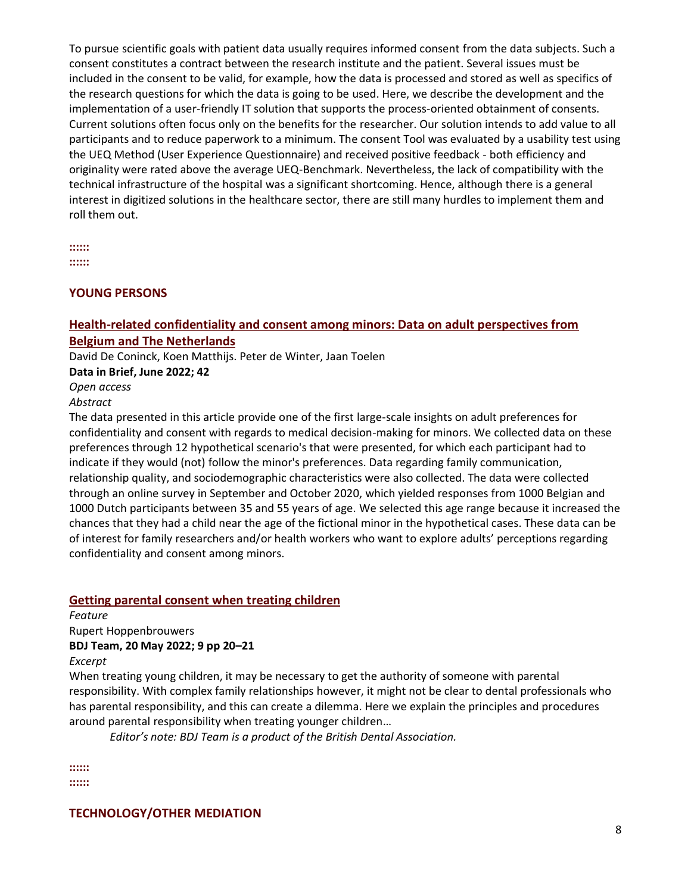To pursue scientific goals with patient data usually requires informed consent from the data subjects. Such a consent constitutes a contract between the research institute and the patient. Several issues must be included in the consent to be valid, for example, how the data is processed and stored as well as specifics of the research questions for which the data is going to be used. Here, we describe the development and the implementation of a user-friendly IT solution that supports the process-oriented obtainment of consents. Current solutions often focus only on the benefits for the researcher. Our solution intends to add value to all participants and to reduce paperwork to a minimum. The consent Tool was evaluated by a usability test using the UEQ Method (User Experience Questionnaire) and received positive feedback - both efficiency and originality were rated above the average UEQ-Benchmark. Nevertheless, the lack of compatibility with the technical infrastructure of the hospital was a significant shortcoming. Hence, although there is a general interest in digitized solutions in the healthcare sector, there are still many hurdles to implement them and roll them out.

**:::::: ::::::**

#### **YOUNG PERSONS**

#### **[Health-related confidentiality and consent among minors: Data on adult perspectives from](https://www.sciencedirect.com/science/article/pii/S2352340922005030)  [Belgium and The Netherlands](https://www.sciencedirect.com/science/article/pii/S2352340922005030)**

David De Coninck, Koen Matthijs. Peter de Winter, Jaan Toelen

**Data in Brief, June 2022; 42**

*Open access*

#### *Abstract*

The data presented in this article provide one of the first large-scale insights on adult preferences for confidentiality and consent with regards to medical decision-making for minors. We collected data on these preferences through 12 hypothetical scenario's that were presented, for which each participant had to indicate if they would (not) follow the minor's preferences. Data regarding family communication, relationship quality, and sociodemographic characteristics were also collected. The data were collected through an online survey in September and October 2020, which yielded responses from 1000 Belgian and 1000 Dutch participants between 35 and 55 years of age. We selected this age range because it increased the chances that they had a child near the age of the fictional minor in the hypothetical cases. These data can be of interest for family researchers and/or health workers who want to explore adults' perceptions regarding confidentiality and consent among minors.

#### **[Getting parental consent when treating children](https://www.nature.com/articles/s41407-022-0922-y)**

*Feature* Rupert Hoppenbrouwers **BDJ Team, 20 May 2022; 9 pp 20–21**

*Excerpt*

When treating young children, it may be necessary to get the authority of someone with parental responsibility. With complex family relationships however, it might not be clear to dental professionals who has parental responsibility, and this can create a dilemma. Here we explain the principles and procedures around parental responsibility when treating younger children…

*Editor's note: BDJ Team is a product of the British Dental Association.*

**:::::: ::::::**

**TECHNOLOGY/OTHER MEDIATION**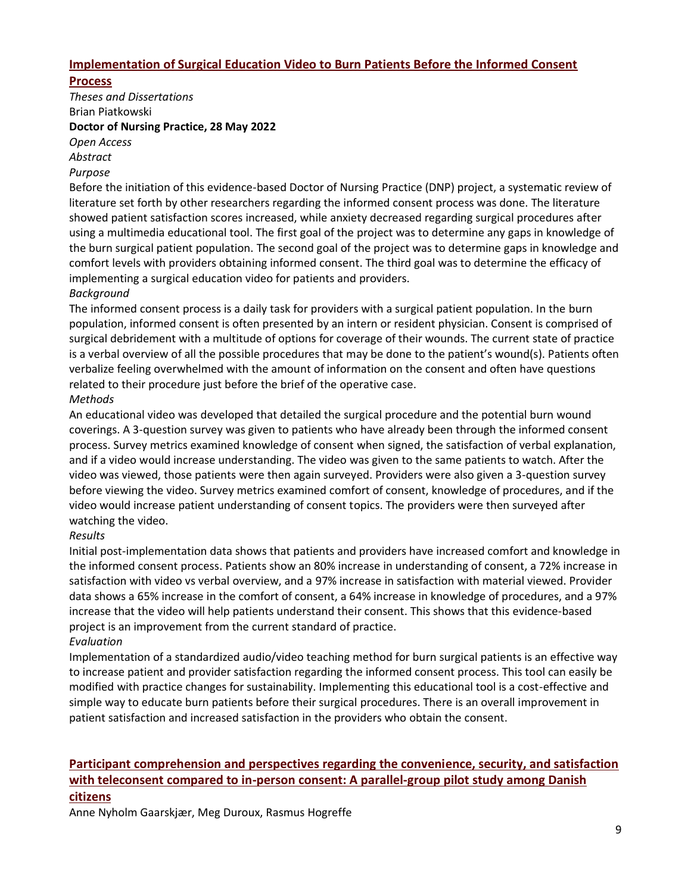# **[Implementation of Surgical Education Video to Burn Patients Before the Informed Consent](https://digital.sandiego.edu/cgi/viewcontent.cgi?article=1201&context=dnp)**

## **[Process](https://digital.sandiego.edu/cgi/viewcontent.cgi?article=1201&context=dnp)**

*Theses and Dissertations* Brian Piatkowski **Doctor of Nursing Practice, 28 May 2022**

*Open Access*

*Abstract*

#### *Purpose*

Before the initiation of this evidence-based Doctor of Nursing Practice (DNP) project, a systematic review of literature set forth by other researchers regarding the informed consent process was done. The literature showed patient satisfaction scores increased, while anxiety decreased regarding surgical procedures after using a multimedia educational tool. The first goal of the project was to determine any gaps in knowledge of the burn surgical patient population. The second goal of the project was to determine gaps in knowledge and comfort levels with providers obtaining informed consent. The third goal was to determine the efficacy of implementing a surgical education video for patients and providers.

#### *Background*

The informed consent process is a daily task for providers with a surgical patient population. In the burn population, informed consent is often presented by an intern or resident physician. Consent is comprised of surgical debridement with a multitude of options for coverage of their wounds. The current state of practice is a verbal overview of all the possible procedures that may be done to the patient's wound(s). Patients often verbalize feeling overwhelmed with the amount of information on the consent and often have questions related to their procedure just before the brief of the operative case.

#### *Methods*

An educational video was developed that detailed the surgical procedure and the potential burn wound coverings. A 3-question survey was given to patients who have already been through the informed consent process. Survey metrics examined knowledge of consent when signed, the satisfaction of verbal explanation, and if a video would increase understanding. The video was given to the same patients to watch. After the video was viewed, those patients were then again surveyed. Providers were also given a 3-question survey before viewing the video. Survey metrics examined comfort of consent, knowledge of procedures, and if the video would increase patient understanding of consent topics. The providers were then surveyed after watching the video.

#### *Results*

Initial post-implementation data shows that patients and providers have increased comfort and knowledge in the informed consent process. Patients show an 80% increase in understanding of consent, a 72% increase in satisfaction with video vs verbal overview, and a 97% increase in satisfaction with material viewed. Provider data shows a 65% increase in the comfort of consent, a 64% increase in knowledge of procedures, and a 97% increase that the video will help patients understand their consent. This shows that this evidence-based project is an improvement from the current standard of practice.

#### *Evaluation*

Implementation of a standardized audio/video teaching method for burn surgical patients is an effective way to increase patient and provider satisfaction regarding the informed consent process. This tool can easily be modified with practice changes for sustainability. Implementing this educational tool is a cost-effective and simple way to educate burn patients before their surgical procedures. There is an overall improvement in patient satisfaction and increased satisfaction in the providers who obtain the consent.

# **[Participant comprehension and perspectives regarding the convenience, security, and satisfaction](https://www.sciencedirect.com/science/article/pii/S2451865422000448#!)  [with teleconsent compared to in-person consent: A parallel-group pilot study among Danish](https://www.sciencedirect.com/science/article/pii/S2451865422000448#!)  [citizens](https://www.sciencedirect.com/science/article/pii/S2451865422000448#!)**

Anne Nyholm Gaarskjær, Meg Duroux, Rasmus Hogreffe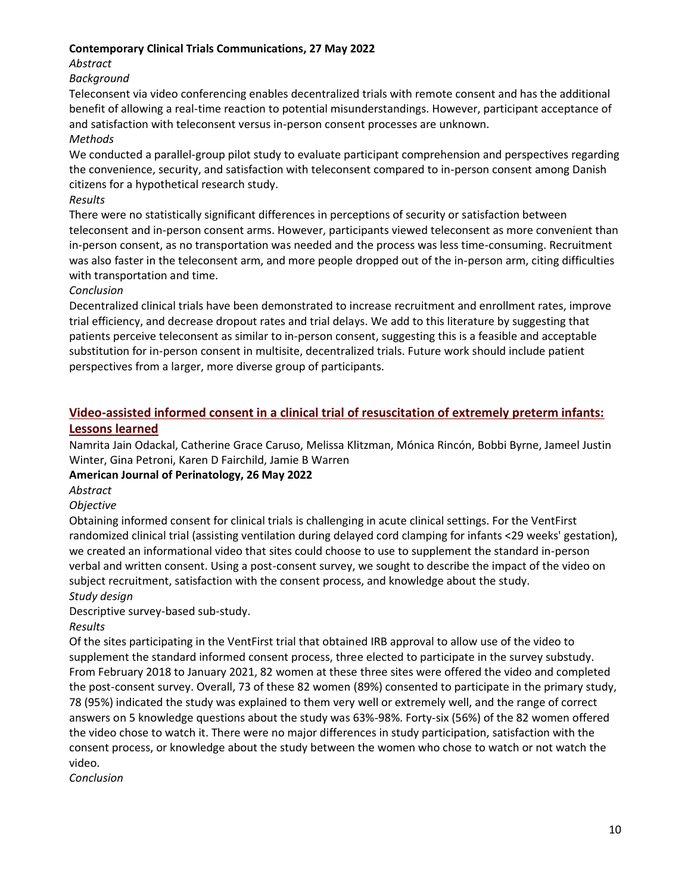#### **Contemporary Clinical Trials Communications, 27 May 2022**

*Abstract*

#### *Background*

Teleconsent via video conferencing enables decentralized trials with remote consent and has the additional benefit of allowing a real-time reaction to potential misunderstandings. However, participant acceptance of and satisfaction with teleconsent versus in-person consent processes are unknown.

#### *Methods*

We conducted a parallel-group pilot study to evaluate participant comprehension and perspectives regarding the convenience, security, and satisfaction with teleconsent compared to in-person consent among Danish citizens for a hypothetical research study.

#### *Results*

There were no statistically significant differences in perceptions of security or satisfaction between teleconsent and in-person consent arms. However, participants viewed teleconsent as more convenient than in-person consent, as no transportation was needed and the process was less time-consuming. Recruitment was also faster in the teleconsent arm, and more people dropped out of the in-person arm, citing difficulties with transportation and time.

#### *Conclusion*

Decentralized clinical trials have been demonstrated to increase recruitment and enrollment rates, improve trial efficiency, and decrease dropout rates and trial delays. We add to this literature by suggesting that patients perceive teleconsent as similar to in-person consent, suggesting this is a feasible and acceptable substitution for in-person consent in multisite, decentralized trials. Future work should include patient perspectives from a larger, more diverse group of participants.

# **[Video-assisted informed consent in a clinical trial of resuscitation of extremely preterm infants:](https://pubmed.ncbi.nlm.nih.gov/35617960/)  [Lessons learned](https://pubmed.ncbi.nlm.nih.gov/35617960/)**

Namrita Jain Odackal, Catherine Grace Caruso, Melissa Klitzman, Mónica Rincón, Bobbi Byrne, Jameel Justin Winter, Gina Petroni, Karen D Fairchild, Jamie B Warren

## **American Journal of Perinatology, 26 May 2022**

*Abstract*

#### *Objective*

Obtaining informed consent for clinical trials is challenging in acute clinical settings. For the VentFirst randomized clinical trial (assisting ventilation during delayed cord clamping for infants <29 weeks' gestation), we created an informational video that sites could choose to use to supplement the standard in-person verbal and written consent. Using a post-consent survey, we sought to describe the impact of the video on subject recruitment, satisfaction with the consent process, and knowledge about the study. *Study design*

#### Descriptive survey-based sub-study.

*Results*

Of the sites participating in the VentFirst trial that obtained IRB approval to allow use of the video to supplement the standard informed consent process, three elected to participate in the survey substudy. From February 2018 to January 2021, 82 women at these three sites were offered the video and completed the post-consent survey. Overall, 73 of these 82 women (89%) consented to participate in the primary study, 78 (95%) indicated the study was explained to them very well or extremely well, and the range of correct answers on 5 knowledge questions about the study was 63%-98%. Forty-six (56%) of the 82 women offered the video chose to watch it. There were no major differences in study participation, satisfaction with the consent process, or knowledge about the study between the women who chose to watch or not watch the video.

*Conclusion*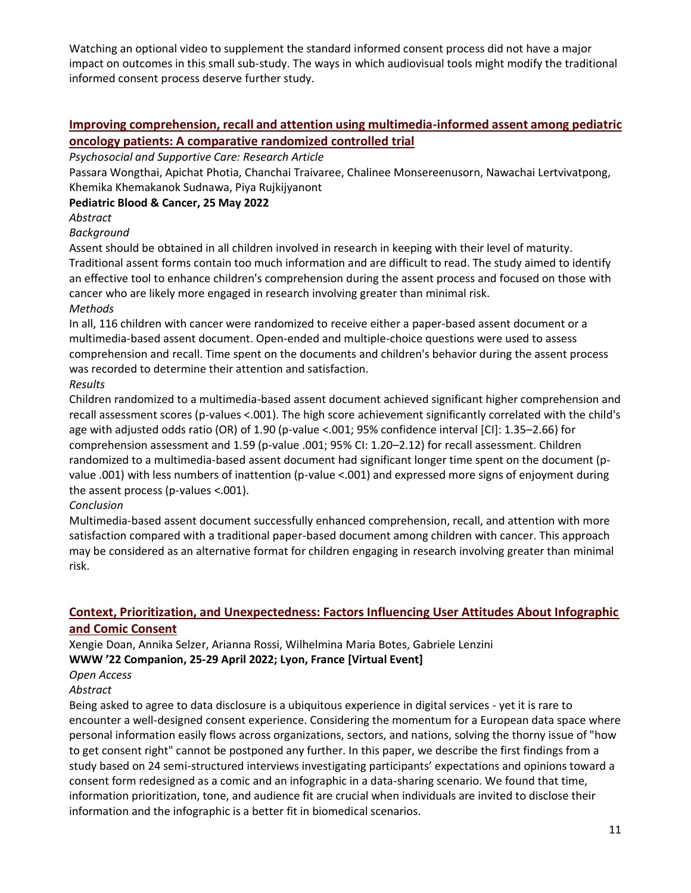Watching an optional video to supplement the standard informed consent process did not have a major impact on outcomes in this small sub-study. The ways in which audiovisual tools might modify the traditional informed consent process deserve further study.

# **Improving comprehension, recall and [attention using multimedia-informed assent among pediatric](https://onlinelibrary.wiley.com/doi/abs/10.1002/pbc.29785)  [oncology patients: A comparative randomized controlled trial](https://onlinelibrary.wiley.com/doi/abs/10.1002/pbc.29785)**

#### *Psychosocial and Supportive Care: Research Article*

Passara Wongthai, Apichat Photia, Chanchai Traivaree, Chalinee Monsereenusorn, Nawachai Lertvivatpong, Khemika Khemakanok Sudnawa, Piya Rujkijyanont

# **Pediatric Blood & Cancer, 25 May 2022**

# *Abstract*

## *Background*

Assent should be obtained in all children involved in research in keeping with their level of maturity. Traditional assent forms contain too much information and are difficult to read. The study aimed to identify an effective tool to enhance children's comprehension during the assent process and focused on those with cancer who are likely more engaged in research involving greater than minimal risk. *Methods*

In all, 116 children with cancer were randomized to receive either a paper-based assent document or a multimedia-based assent document. Open-ended and multiple-choice questions were used to assess comprehension and recall. Time spent on the documents and children's behavior during the assent process was recorded to determine their attention and satisfaction.

# *Results*

Children randomized to a multimedia-based assent document achieved significant higher comprehension and recall assessment scores (p-values <.001). The high score achievement significantly correlated with the child's age with adjusted odds ratio (OR) of 1.90 (p-value <.001; 95% confidence interval [CI]: 1.35–2.66) for comprehension assessment and 1.59 (p-value .001; 95% CI: 1.20–2.12) for recall assessment. Children randomized to a multimedia-based assent document had significant longer time spent on the document (pvalue .001) with less numbers of inattention (p-value <.001) and expressed more signs of enjoyment during the assent process (p-values <.001).

# *Conclusion*

Multimedia-based assent document successfully enhanced comprehension, recall, and attention with more satisfaction compared with a traditional paper-based document among children with cancer. This approach may be considered as an alternative format for children engaging in research involving greater than minimal risk.

# **[Context, Prioritization, and Unexpectedness: Factors Influencing User Attitudes About Infographic](https://www2022.thewebconf.org/PaperFiles/90.pdf)  [and Comic Consent](https://www2022.thewebconf.org/PaperFiles/90.pdf)**

#### Xengie Doan, Annika Selzer, Arianna Rossi, Wilhelmina Maria Botes, Gabriele Lenzini **WWW '22 Companion, 25-29 April 2022; Lyon, France [Virtual Event]**

# *Open Access*

## *Abstract*

Being asked to agree to data disclosure is a ubiquitous experience in digital services - yet it is rare to encounter a well-designed consent experience. Considering the momentum for a European data space where personal information easily flows across organizations, sectors, and nations, solving the thorny issue of "how to get consent right" cannot be postponed any further. In this paper, we describe the first findings from a study based on 24 semi-structured interviews investigating participants' expectations and opinions toward a consent form redesigned as a comic and an infographic in a data-sharing scenario. We found that time, information prioritization, tone, and audience fit are crucial when individuals are invited to disclose their information and the infographic is a better fit in biomedical scenarios.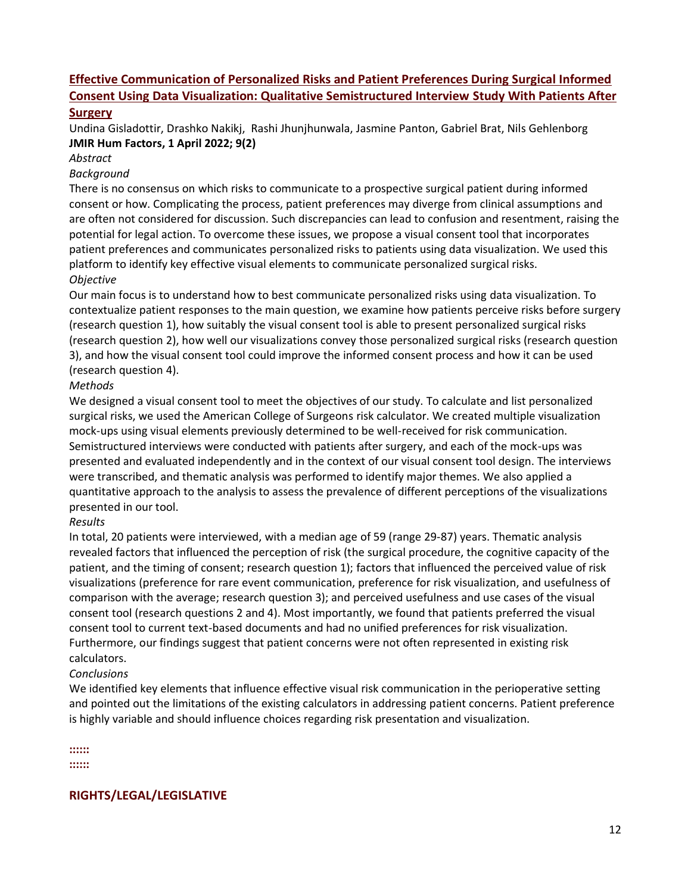# **[Effective Communication of Personalized Risks and Patient Preferences During Surgical Informed](https://humanfactors.jmir.org/2022/2/e29118/)  [Consent Using Data Visualization: Qualitative Semistructured Interview](https://humanfactors.jmir.org/2022/2/e29118/) Study With Patients After [Surgery](https://humanfactors.jmir.org/2022/2/e29118/)**

Undina Gisladottir, Drashko Nakikj, Rashi Jhunjhunwala, Jasmine Panton, Gabriel Brat, Nils Gehlenborg **JMIR Hum Factors, 1 April 2022; 9(2)**

#### *Abstract*

#### *Background*

There is no consensus on which risks to communicate to a prospective surgical patient during informed consent or how. Complicating the process, patient preferences may diverge from clinical assumptions and are often not considered for discussion. Such discrepancies can lead to confusion and resentment, raising the potential for legal action. To overcome these issues, we propose a visual consent tool that incorporates patient preferences and communicates personalized risks to patients using data visualization. We used this platform to identify key effective visual elements to communicate personalized surgical risks. *Objective*

Our main focus is to understand how to best communicate personalized risks using data visualization. To contextualize patient responses to the main question, we examine how patients perceive risks before surgery (research question 1), how suitably the visual consent tool is able to present personalized surgical risks (research question 2), how well our visualizations convey those personalized surgical risks (research question 3), and how the visual consent tool could improve the informed consent process and how it can be used (research question 4).

# *Methods*

We designed a visual consent tool to meet the objectives of our study. To calculate and list personalized surgical risks, we used the American College of Surgeons risk calculator. We created multiple visualization mock-ups using visual elements previously determined to be well-received for risk communication. Semistructured interviews were conducted with patients after surgery, and each of the mock-ups was presented and evaluated independently and in the context of our visual consent tool design. The interviews were transcribed, and thematic analysis was performed to identify major themes. We also applied a quantitative approach to the analysis to assess the prevalence of different perceptions of the visualizations presented in our tool.

## *Results*

In total, 20 patients were interviewed, with a median age of 59 (range 29-87) years. Thematic analysis revealed factors that influenced the perception of risk (the surgical procedure, the cognitive capacity of the patient, and the timing of consent; research question 1); factors that influenced the perceived value of risk visualizations (preference for rare event communication, preference for risk visualization, and usefulness of comparison with the average; research question 3); and perceived usefulness and use cases of the visual consent tool (research questions 2 and 4). Most importantly, we found that patients preferred the visual consent tool to current text-based documents and had no unified preferences for risk visualization. Furthermore, our findings suggest that patient concerns were not often represented in existing risk calculators.

## *Conclusions*

We identified key elements that influence effective visual risk communication in the perioperative setting and pointed out the limitations of the existing calculators in addressing patient concerns. Patient preference is highly variable and should influence choices regarding risk presentation and visualization.

**::::::**

**::::::**

**RIGHTS/LEGAL/LEGISLATIVE**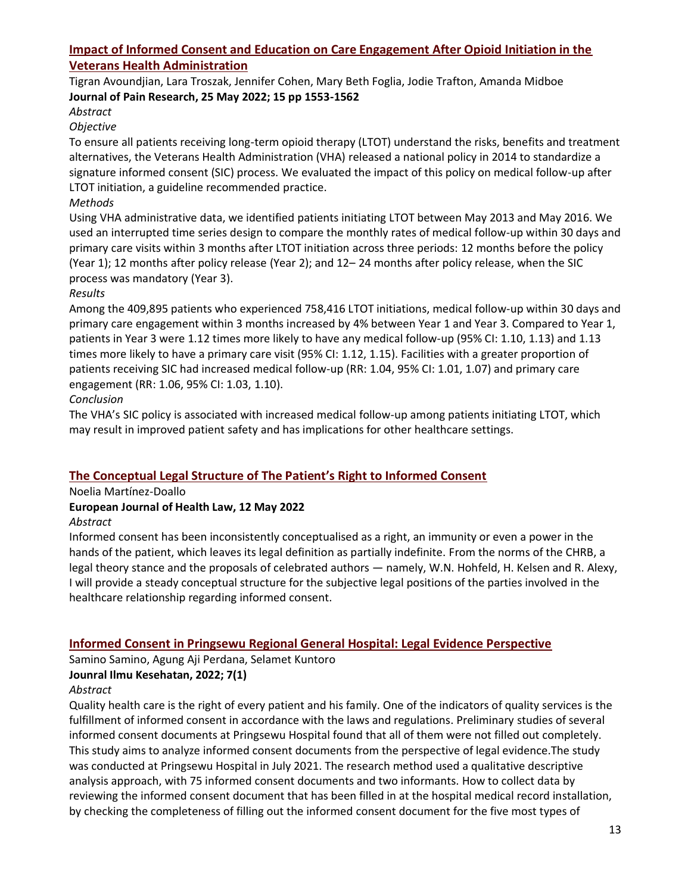# **[Impact of Informed Consent and Education on Care Engagement After Opioid Initiation in the](https://www.dovepress.com/impact-of-informed-consent-and-education-on-care-engagement-after-opio-peer-reviewed-fulltext-article-JPR)  [Veterans Health Administration](https://www.dovepress.com/impact-of-informed-consent-and-education-on-care-engagement-after-opio-peer-reviewed-fulltext-article-JPR)**

#### Tigran Avoundjian, Lara Troszak, Jennifer Cohen, Mary Beth Foglia, Jodie Trafton, Amanda Midboe **Journal of Pain Research, 25 May 2022; 15 pp 1553-1562**

# *Abstract*

# *Objective*

To ensure all patients receiving long-term opioid therapy (LTOT) understand the risks, benefits and treatment alternatives, the Veterans Health Administration (VHA) released a national policy in 2014 to standardize a signature informed consent (SIC) process. We evaluated the impact of this policy on medical follow-up after LTOT initiation, a guideline recommended practice.

# *Methods*

Using VHA administrative data, we identified patients initiating LTOT between May 2013 and May 2016. We used an interrupted time series design to compare the monthly rates of medical follow-up within 30 days and primary care visits within 3 months after LTOT initiation across three periods: 12 months before the policy (Year 1); 12 months after policy release (Year 2); and 12– 24 months after policy release, when the SIC process was mandatory (Year 3).

## *Results*

Among the 409,895 patients who experienced 758,416 LTOT initiations, medical follow-up within 30 days and primary care engagement within 3 months increased by 4% between Year 1 and Year 3. Compared to Year 1, patients in Year 3 were 1.12 times more likely to have any medical follow-up (95% CI: 1.10, 1.13) and 1.13 times more likely to have a primary care visit (95% CI: 1.12, 1.15). Facilities with a greater proportion of patients receiving SIC had increased medical follow-up (RR: 1.04, 95% CI: 1.01, 1.07) and primary care engagement (RR: 1.06, 95% CI: 1.03, 1.10).

## *Conclusion*

The VHA's SIC policy is associated with increased medical follow-up among patients initiating LTOT, which may result in improved patient safety and has implications for other healthcare settings.

# **[The Conceptual Legal Structure of The Patient's Right to Informed Consent](https://brill.com/view/journals/ejhl/aop/article-10.1163-15718093-bja10087/article-10.1163-15718093-bja10087.xml)**

Noelia Martínez-Doallo

## **European Journal of Health Law, 12 May 2022**

## *Abstract*

Informed consent has been inconsistently conceptualised as a right, an immunity or even a power in the hands of the patient, which leaves its legal definition as partially indefinite. From the norms of the CHRB, a legal theory stance and the proposals of celebrated authors — namely, W.N. Hohfeld, H. Kelsen and R. Alexy, I will provide a steady conceptual structure for the subjective legal positions of the parties involved in the healthcare relationship regarding informed consent.

# **[Informed Consent in Pringsewu Regional General Hospital: Legal Evidence Perspective](https://www.aisyah.journalpress.id/index.php/jika/article/view/7140)**

Samino Samino, Agung Aji Perdana, Selamet Kuntoro

## **Jounral Ilmu Kesehatan, 2022; 7(1)**

## *Abstract*

Quality health care is the right of every patient and his family. One of the indicators of quality services is the fulfillment of informed consent in accordance with the laws and regulations. Preliminary studies of several informed consent documents at Pringsewu Hospital found that all of them were not filled out completely. This study aims to analyze informed consent documents from the perspective of legal evidence.The study was conducted at Pringsewu Hospital in July 2021. The research method used a qualitative descriptive analysis approach, with 75 informed consent documents and two informants. How to collect data by reviewing the informed consent document that has been filled in at the hospital medical record installation, by checking the completeness of filling out the informed consent document for the five most types of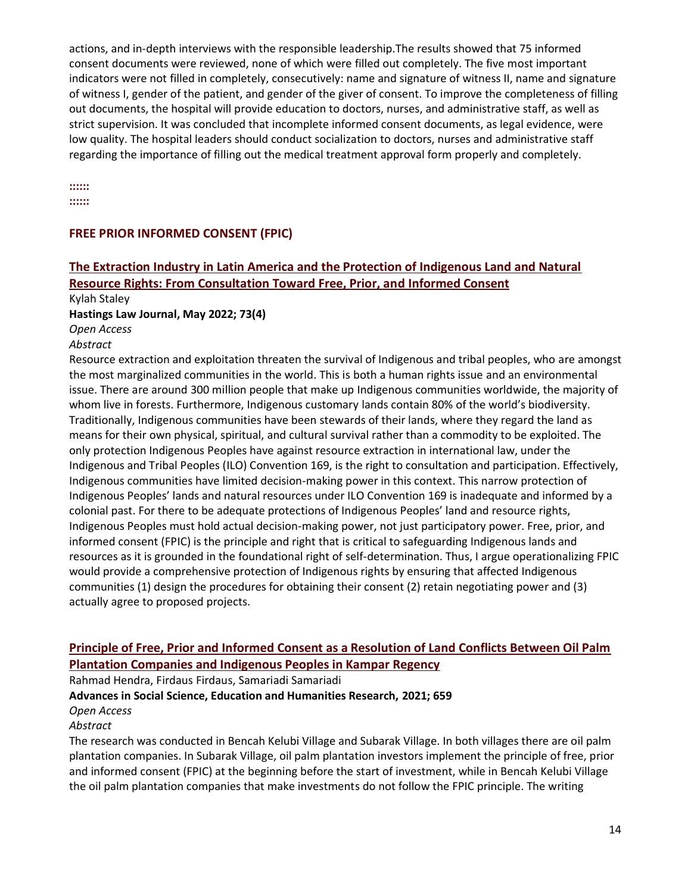actions, and in-depth interviews with the responsible leadership.The results showed that 75 informed consent documents were reviewed, none of which were filled out completely. The five most important indicators were not filled in completely, consecutively: name and signature of witness II, name and signature of witness I, gender of the patient, and gender of the giver of consent. To improve the completeness of filling out documents, the hospital will provide education to doctors, nurses, and administrative staff, as well as strict supervision. It was concluded that incomplete informed consent documents, as legal evidence, were low quality. The hospital leaders should conduct socialization to doctors, nurses and administrative staff regarding the importance of filling out the medical treatment approval form properly and completely.

**::::::**

**::::::**

## **FREE PRIOR INFORMED CONSENT (FPIC)**

# **[The Extraction Industry in Latin America and the Protection of Indigenous Land and Natural](https://repository.uchastings.edu/cgi/viewcontent.cgi?article=3982&context=hastings_law_journal)  [Resource Rights: From Consultation Toward Free, Prior, and Informed Consent](https://repository.uchastings.edu/cgi/viewcontent.cgi?article=3982&context=hastings_law_journal)**

Kylah Staley

**Hastings Law Journal, May 2022; 73(4)**

*Open Access* 

*Abstract*

Resource extraction and exploitation threaten the survival of Indigenous and tribal peoples, who are amongst the most marginalized communities in the world. This is both a human rights issue and an environmental issue. There are around 300 million people that make up Indigenous communities worldwide, the majority of whom live in forests. Furthermore, Indigenous customary lands contain 80% of the world's biodiversity. Traditionally, Indigenous communities have been stewards of their lands, where they regard the land as means for their own physical, spiritual, and cultural survival rather than a commodity to be exploited. The only protection Indigenous Peoples have against resource extraction in international law, under the Indigenous and Tribal Peoples (ILO) Convention 169, is the right to consultation and participation. Effectively, Indigenous communities have limited decision-making power in this context. This narrow protection of Indigenous Peoples' lands and natural resources under ILO Convention 169 is inadequate and informed by a colonial past. For there to be adequate protections of Indigenous Peoples' land and resource rights, Indigenous Peoples must hold actual decision-making power, not just participatory power. Free, prior, and informed consent (FPIC) is the principle and right that is critical to safeguarding Indigenous lands and resources as it is grounded in the foundational right of self-determination. Thus, I argue operationalizing FPIC would provide a comprehensive protection of Indigenous rights by ensuring that affected Indigenous communities (1) design the procedures for obtaining their consent (2) retain negotiating power and (3) actually agree to proposed projects.

# **[Principle of Free, Prior and Informed Consent as a Resolution of Land Conflicts Between Oil Palm](https://scholar.google.com/scholar_url?url=https://www.atlantis-press.com/article/125973372.pdf&hl=en&sa=X&d=6677655545323461823&ei=1T9zYsmdGOaTy9YPvNGB4Ao&scisig=AAGBfm24gbi9Z_vXRR7diP0uLPtrFCFDkQ&oi=scholaralrt&hist=SqhM5vMAAAAJ:13542989930044107291:AAGBfm3_1QBZ3MkNeZuw4aVdW9G22CqaUA&html=&pos=6&folt=kw)  [Plantation Companies and Indigenous Peoples in Kampar Regency](https://scholar.google.com/scholar_url?url=https://www.atlantis-press.com/article/125973372.pdf&hl=en&sa=X&d=6677655545323461823&ei=1T9zYsmdGOaTy9YPvNGB4Ao&scisig=AAGBfm24gbi9Z_vXRR7diP0uLPtrFCFDkQ&oi=scholaralrt&hist=SqhM5vMAAAAJ:13542989930044107291:AAGBfm3_1QBZ3MkNeZuw4aVdW9G22CqaUA&html=&pos=6&folt=kw)**

Rahmad Hendra, Firdaus Firdaus, Samariadi Samariadi

**Advances in Social Science, Education and Humanities Research, 2021; 659**

*Open Access*

*Abstract*

The research was conducted in Bencah Kelubi Village and Subarak Village. In both villages there are oil palm plantation companies. In Subarak Village, oil palm plantation investors implement the principle of free, prior and informed consent (FPIC) at the beginning before the start of investment, while in Bencah Kelubi Village the oil palm plantation companies that make investments do not follow the FPIC principle. The writing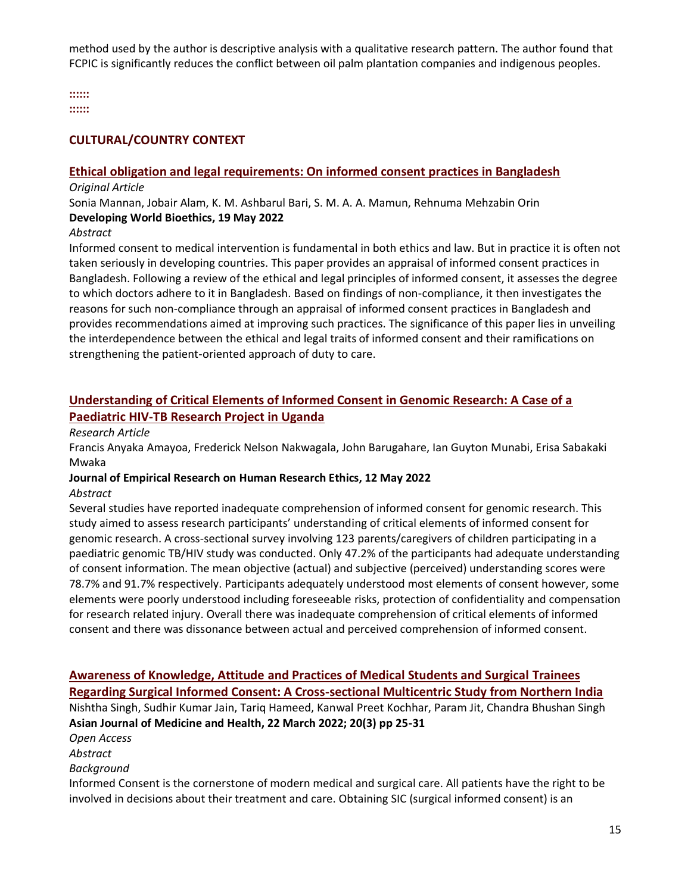method used by the author is descriptive analysis with a qualitative research pattern. The author found that FCPIC is significantly reduces the conflict between oil palm plantation companies and indigenous peoples.

**::::::**

**::::::**

#### **CULTURAL/COUNTRY CONTEXT**

#### **[Ethical obligation and legal requirements: On informed consent practices in Bangladesh](https://onlinelibrary.wiley.com/doi/abs/10.1111/dewb.12356)**

#### *Original Article*

Sonia Mannan, Jobair Alam, K. M. Ashbarul Bari, S. M. A. A. Mamun, Rehnuma Mehzabin Orin **Developing World Bioethics, 19 May 2022** 

#### *Abstract*

Informed consent to medical intervention is fundamental in both ethics and law. But in practice it is often not taken seriously in developing countries. This paper provides an appraisal of informed consent practices in Bangladesh. Following a review of the ethical and legal principles of informed consent, it assesses the degree to which doctors adhere to it in Bangladesh. Based on findings of non-compliance, it then investigates the reasons for such non-compliance through an appraisal of informed consent practices in Bangladesh and provides recommendations aimed at improving such practices. The significance of this paper lies in unveiling the interdependence between the ethical and legal traits of informed consent and their ramifications on strengthening the patient-oriented approach of duty to care.

# **[Understanding of Critical Elements of Informed Consent in Genomic Research: A Case of a](https://journals.sagepub.com/doi/abs/10.1177/15562646221100430)  [Paediatric HIV-TB Research Project in Uganda](https://journals.sagepub.com/doi/abs/10.1177/15562646221100430)**

#### *Research Article*

Francis Anyaka Amayoa, Frederick Nelson Nakwagala, John Barugahare, Ian Guyton Munabi, Erisa Sabakaki Mwaka

# **Journal of Empirical Research on Human Research Ethics, 12 May 2022**

#### *Abstract*

Several studies have reported inadequate comprehension of informed consent for genomic research. This study aimed to assess research participants' understanding of critical elements of informed consent for genomic research. A cross-sectional survey involving 123 parents/caregivers of children participating in a paediatric genomic TB/HIV study was conducted. Only 47.2% of the participants had adequate understanding of consent information. The mean objective (actual) and subjective (perceived) understanding scores were 78.7% and 91.7% respectively. Participants adequately understood most elements of consent however, some elements were poorly understood including foreseeable risks, protection of confidentiality and compensation for research related injury. Overall there was inadequate comprehension of critical elements of informed consent and there was dissonance between actual and perceived comprehension of informed consent.

#### **Awareness of Knowledge, Attitude [and Practices of Medical Students and Surgical](https://www.researchgate.net/profile/Tariq-Hameed-5/publication/359464312_Awareness_of_Knowledge_Attitude_and_Practices_of_Medical_Students_and_Surgical_Trainees_Regarding_Surgical_Informed_Consent_A_Cross-sectional_Multi-centric_Study_from_Northern_India/links/624f1c01ef013420665f3528/Awareness-of-Knowledge-Attitude-and-Practices-of-Medical-Students-and-Surgical-Trainees-Regarding-Surgical-Informed-Consent-A-Cross-sectional-Multi-centric-Study-from-Northern-India.pdf) Trainees [Regarding Surgical Informed Consent: A Cross-sectional Multicentric Study from Northern India](https://www.researchgate.net/profile/Tariq-Hameed-5/publication/359464312_Awareness_of_Knowledge_Attitude_and_Practices_of_Medical_Students_and_Surgical_Trainees_Regarding_Surgical_Informed_Consent_A_Cross-sectional_Multi-centric_Study_from_Northern_India/links/624f1c01ef013420665f3528/Awareness-of-Knowledge-Attitude-and-Practices-of-Medical-Students-and-Surgical-Trainees-Regarding-Surgical-Informed-Consent-A-Cross-sectional-Multi-centric-Study-from-Northern-India.pdf)**

Nishtha Singh, Sudhir Kumar Jain, Tariq Hameed, Kanwal Preet Kochhar, Param Jit, Chandra Bhushan Singh **Asian Journal of Medicine and Health, 22 March 2022; 20(3) pp 25-31**

# *Open Access*

*Abstract* 

#### *Background*

Informed Consent is the cornerstone of modern medical and surgical care. All patients have the right to be involved in decisions about their treatment and care. Obtaining SIC (surgical informed consent) is an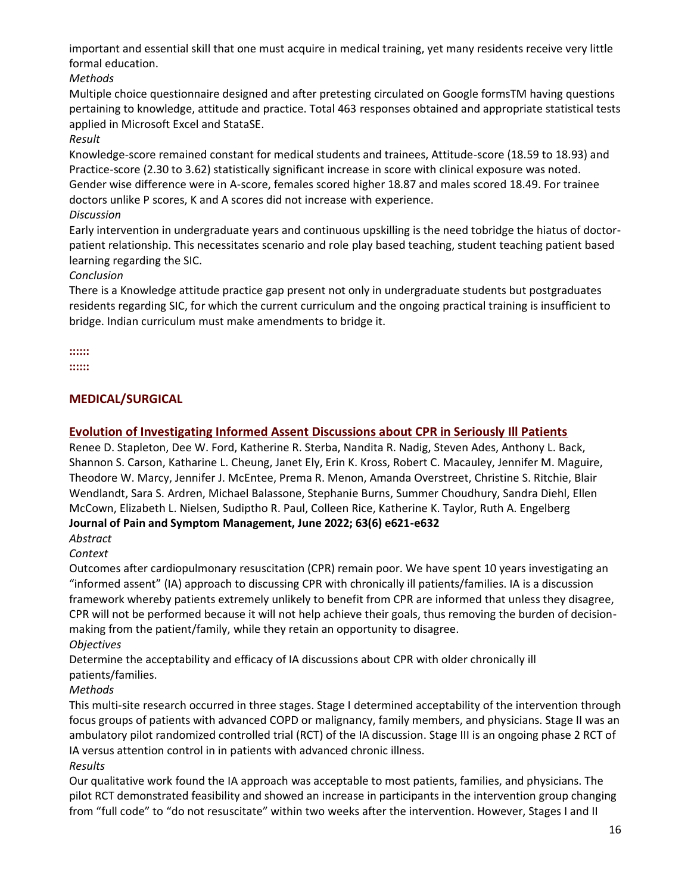important and essential skill that one must acquire in medical training, yet many residents receive very little formal education.

*Methods* 

Multiple choice questionnaire designed and after pretesting circulated on Google formsTM having questions pertaining to knowledge, attitude and practice. Total 463 responses obtained and appropriate statistical tests applied in Microsoft Excel and StataSE.

# *Result*

Knowledge-score remained constant for medical students and trainees, Attitude-score (18.59 to 18.93) and Practice-score (2.30 to 3.62) statistically significant increase in score with clinical exposure was noted. Gender wise difference were in A-score, females scored higher 18.87 and males scored 18.49. For trainee doctors unlike P scores, K and A scores did not increase with experience.

# *Discussion*

Early intervention in undergraduate years and continuous upskilling is the need tobridge the hiatus of doctorpatient relationship. This necessitates scenario and role play based teaching, student teaching patient based learning regarding the SIC.

# *Conclusion*

There is a Knowledge attitude practice gap present not only in undergraduate students but postgraduates residents regarding SIC, for which the current curriculum and the ongoing practical training is insufficient to bridge. Indian curriculum must make amendments to bridge it.

**:::::: ::::::**

# **MEDICAL/SURGICAL**

# **[Evolution of Investigating Informed Assent Discussions about CPR in Seriously Ill Patients](https://www.sciencedirect.com/science/article/pii/S0885392422004808)**

Renee D. Stapleton, Dee W. Ford, Katherine R. Sterba, Nandita R. Nadig, Steven Ades, Anthony L. Back, Shannon S. Carson, Katharine L. Cheung, Janet Ely, Erin K. Kross, Robert C. Macauley, Jennifer M. Maguire, Theodore W. Marcy, Jennifer J. McEntee, Prema R. Menon, Amanda Overstreet, Christine S. Ritchie, Blair Wendlandt, Sara S. Ardren, Michael Balassone, Stephanie Burns, Summer Choudhury, Sandra Diehl, Ellen McCown, Elizabeth L. Nielsen, Sudiptho R. Paul, Colleen Rice, Katherine K. Taylor, Ruth A. Engelberg **Journal of Pain and Symptom Management, June 2022; 63(6) e621-e632**

# *Abstract*

# *Context*

Outcomes after cardiopulmonary resuscitation (CPR) remain poor. We have spent 10 years investigating an "informed assent" (IA) approach to discussing CPR with chronically ill patients/families. IA is a discussion framework whereby patients extremely unlikely to benefit from CPR are informed that unless they disagree, CPR will not be performed because it will not help achieve their goals, thus removing the burden of decisionmaking from the patient/family, while they retain an opportunity to disagree.

*Objectives*

Determine the acceptability and efficacy of IA discussions about CPR with older chronically ill patients/families.

*Methods*

This multi-site research occurred in three stages. Stage I determined acceptability of the intervention through focus groups of patients with advanced COPD or malignancy, family members, and physicians. Stage II was an ambulatory pilot randomized controlled trial (RCT) of the IA discussion. Stage III is an ongoing phase 2 RCT of IA versus attention control in in patients with advanced chronic illness.

# *Results*

Our qualitative work found the IA approach was acceptable to most patients, families, and physicians. The pilot RCT demonstrated feasibility and showed an increase in participants in the intervention group changing from "full code" to "do not resuscitate" within two weeks after the intervention. However, Stages I and II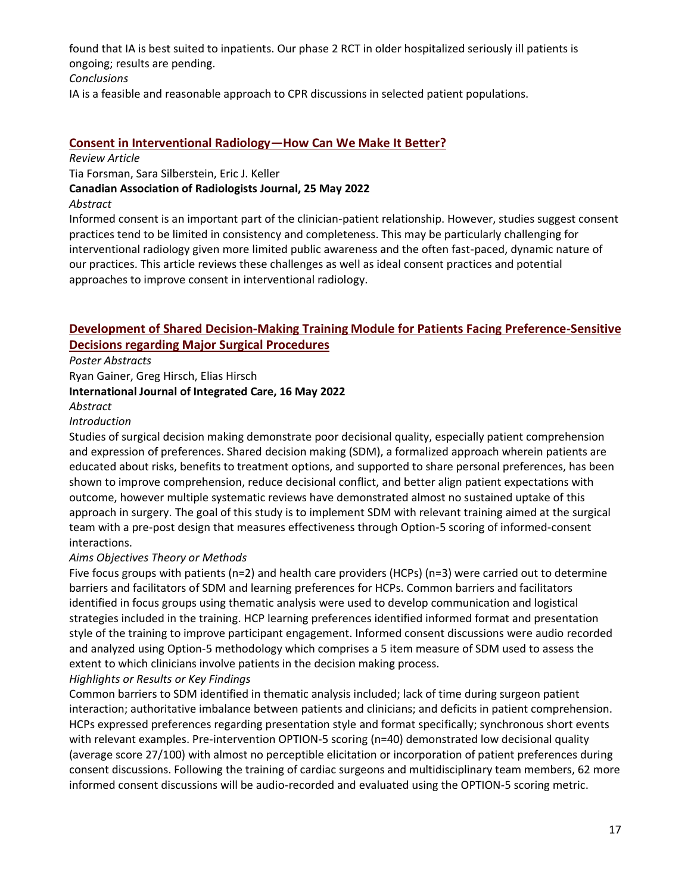found that IA is best suited to inpatients. Our phase 2 RCT in older hospitalized seriously ill patients is ongoing; results are pending.

#### *Conclusions*

IA is a feasible and reasonable approach to CPR discussions in selected patient populations.

## **[Consent in Interventional Radiology](https://journals.sagepub.com/doi/abs/10.1177/08465371221101625)—How Can We Make It Better?**

#### *Review Article*

Tia Forsman, Sara Silberstein, Eric J. Keller

**Canadian Association of Radiologists Journal, 25 May 2022** 

#### *Abstract*

Informed consent is an important part of the clinician-patient relationship. However, studies suggest consent practices tend to be limited in consistency and completeness. This may be particularly challenging for interventional radiology given more limited public awareness and the often fast-paced, dynamic nature of our practices. This article reviews these challenges as well as ideal consent practices and potential approaches to improve consent in interventional radiology.

# **[Development of Shared Decision-Making Training Module for Patients Facing Preference-Sensitive](https://ijic.org/articles/abstract/10.5334/ijic.ICIC21305/)  [Decisions regarding Major Surgical Procedures](https://ijic.org/articles/abstract/10.5334/ijic.ICIC21305/)**

*Poster Abstracts*

Ryan Gainer, Greg Hirsch, Elias Hirsch

## **International Journal of Integrated Care, 16 May 2022**

#### *Abstract*

#### *Introduction*

Studies of surgical decision making demonstrate poor decisional quality, especially patient comprehension and expression of preferences. Shared decision making (SDM), a formalized approach wherein patients are educated about risks, benefits to treatment options, and supported to share personal preferences, has been shown to improve comprehension, reduce decisional conflict, and better align patient expectations with outcome, however multiple systematic reviews have demonstrated almost no sustained uptake of this approach in surgery. The goal of this study is to implement SDM with relevant training aimed at the surgical team with a pre-post design that measures effectiveness through Option-5 scoring of informed-consent interactions.

## *Aims Objectives Theory or Methods*

Five focus groups with patients (n=2) and health care providers (HCPs) (n=3) were carried out to determine barriers and facilitators of SDM and learning preferences for HCPs. Common barriers and facilitators identified in focus groups using thematic analysis were used to develop communication and logistical strategies included in the training. HCP learning preferences identified informed format and presentation style of the training to improve participant engagement. Informed consent discussions were audio recorded and analyzed using Option-5 methodology which comprises a 5 item measure of SDM used to assess the extent to which clinicians involve patients in the decision making process.

#### *Highlights or Results or Key Findings*

Common barriers to SDM identified in thematic analysis included; lack of time during surgeon patient interaction; authoritative imbalance between patients and clinicians; and deficits in patient comprehension. HCPs expressed preferences regarding presentation style and format specifically; synchronous short events with relevant examples. Pre-intervention OPTION-5 scoring (n=40) demonstrated low decisional quality (average score 27/100) with almost no perceptible elicitation or incorporation of patient preferences during consent discussions. Following the training of cardiac surgeons and multidisciplinary team members, 62 more informed consent discussions will be audio-recorded and evaluated using the OPTION-5 scoring metric.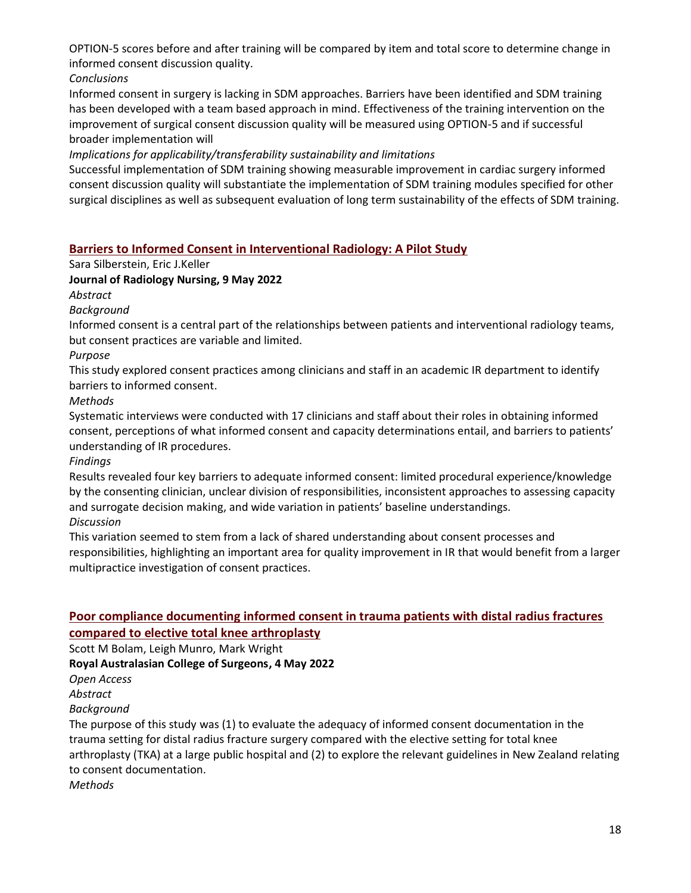OPTION-5 scores before and after training will be compared by item and total score to determine change in informed consent discussion quality.

*Conclusions*

Informed consent in surgery is lacking in SDM approaches. Barriers have been identified and SDM training has been developed with a team based approach in mind. Effectiveness of the training intervention on the improvement of surgical consent discussion quality will be measured using OPTION-5 and if successful broader implementation will

## *Implications for applicability/transferability sustainability and limitations*

Successful implementation of SDM training showing measurable improvement in cardiac surgery informed consent discussion quality will substantiate the implementation of SDM training modules specified for other surgical disciplines as well as subsequent evaluation of long term sustainability of the effects of SDM training.

# **[Barriers to Informed Consent in Interventional Radiology: A Pilot Study](https://www.sciencedirect.com/science/article/abs/pii/S1546084322000487#!)**

Sara Silberstein, Eric J.Keller

# **Journal of Radiology Nursing, 9 May 2022**

*Abstract*

*Background*

Informed consent is a central part of the relationships between patients and interventional radiology teams, but consent practices are variable and limited.

*Purpose*

This study explored consent practices among clinicians and staff in an academic IR department to identify barriers to informed consent.

*Methods*

Systematic interviews were conducted with 17 clinicians and staff about their roles in obtaining informed consent, perceptions of what informed consent and capacity determinations entail, and barriers to patients' understanding of IR procedures.

*Findings*

Results revealed four key barriers to adequate informed consent: limited procedural experience/knowledge by the consenting clinician, unclear division of responsibilities, inconsistent approaches to assessing capacity and surrogate decision making, and wide variation in patients' baseline understandings. *Discussion*

This variation seemed to stem from a lack of shared understanding about consent processes and responsibilities, highlighting an important area for quality improvement in IR that would benefit from a larger multipractice investigation of consent practices.

# **[Poor compliance documenting informed consent in trauma patients with distal radius fractures](https://pubmed.ncbi.nlm.nih.gov/35588267/)  [compared to elective total knee arthroplasty](https://pubmed.ncbi.nlm.nih.gov/35588267/)**

Scott M Bolam, Leigh Munro, Mark Wright

**Royal Australasian College of Surgeons, 4 May 2022**

*Open Access* 

*Abstract*

*Background*

The purpose of this study was (1) to evaluate the adequacy of informed consent documentation in the trauma setting for distal radius fracture surgery compared with the elective setting for total knee arthroplasty (TKA) at a large public hospital and (2) to explore the relevant guidelines in New Zealand relating to consent documentation.

*Methods*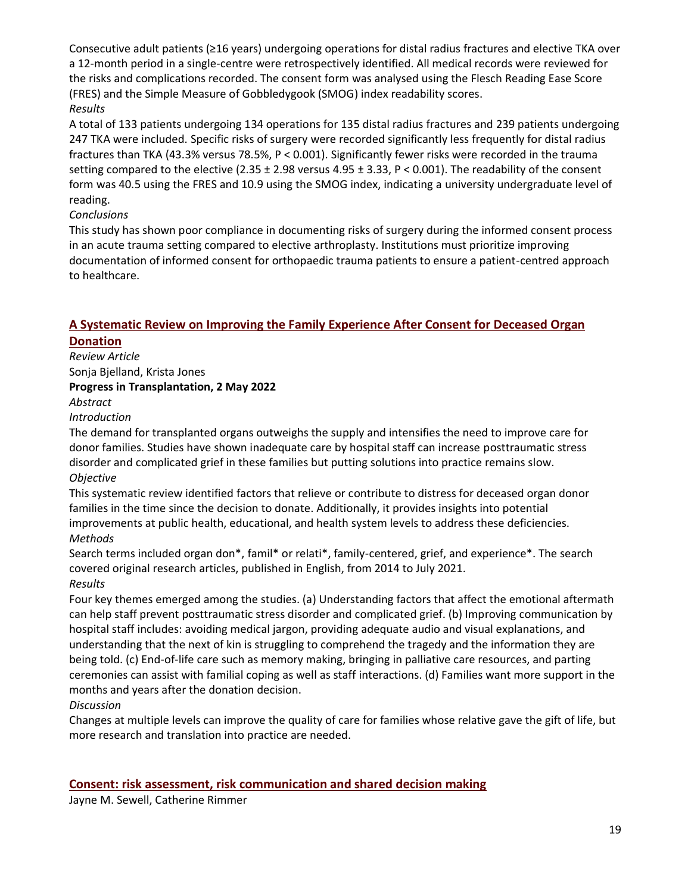Consecutive adult patients (≥16 years) undergoing operations for distal radius fractures and elective TKA over a 12-month period in a single-centre were retrospectively identified. All medical records were reviewed for the risks and complications recorded. The consent form was analysed using the Flesch Reading Ease Score (FRES) and the Simple Measure of Gobbledygook (SMOG) index readability scores. *Results*

A total of 133 patients undergoing 134 operations for 135 distal radius fractures and 239 patients undergoing 247 TKA were included. Specific risks of surgery were recorded significantly less frequently for distal radius fractures than TKA (43.3% versus 78.5%, P < 0.001). Significantly fewer risks were recorded in the trauma setting compared to the elective (2.35 ± 2.98 versus 4.95 ± 3.33, P < 0.001). The readability of the consent form was 40.5 using the FRES and 10.9 using the SMOG index, indicating a university undergraduate level of reading.

## *Conclusions*

This study has shown poor compliance in documenting risks of surgery during the informed consent process in an acute trauma setting compared to elective arthroplasty. Institutions must prioritize improving documentation of informed consent for orthopaedic trauma patients to ensure a patient-centred approach to healthcare.

# **[A Systematic Review on Improving the Family Experience After Consent for Deceased Organ](https://journals.sagepub.com/doi/abs/10.1177/15269248221087429)  [Donation](https://journals.sagepub.com/doi/abs/10.1177/15269248221087429)**

*Review Article*  Sonja Bjelland, Krista Jones **Progress in Transplantation, 2 May 2022** 

# *Abstract*

*Introduction*

The demand for transplanted organs outweighs the supply and intensifies the need to improve care for donor families. Studies have shown inadequate care by hospital staff can increase posttraumatic stress disorder and complicated grief in these families but putting solutions into practice remains slow. *Objective*

This systematic review identified factors that relieve or contribute to distress for deceased organ donor families in the time since the decision to donate. Additionally, it provides insights into potential improvements at public health, educational, and health system levels to address these deficiencies. *Methods*

Search terms included organ don\*, famil\* or relati\*, family-centered, grief, and experience\*. The search covered original research articles, published in English, from 2014 to July 2021. *Results*

Four key themes emerged among the studies. (a) Understanding factors that affect the emotional aftermath can help staff prevent posttraumatic stress disorder and complicated grief. (b) Improving communication by hospital staff includes: avoiding medical jargon, providing adequate audio and visual explanations, and understanding that the next of kin is struggling to comprehend the tragedy and the information they are being told. (c) End-of-life care such as memory making, bringing in palliative care resources, and parting ceremonies can assist with familial coping as well as staff interactions. (d) Families want more support in the months and years after the donation decision.

## *Discussion*

Changes at multiple levels can improve the quality of care for families whose relative gave the gift of life, but more research and translation into practice are needed.

## **[Consent: risk assessment, risk communication and shared decision making](https://www.sciencedirect.com/science/article/abs/pii/S0263931922000497)**

Jayne M. Sewell, Catherine Rimmer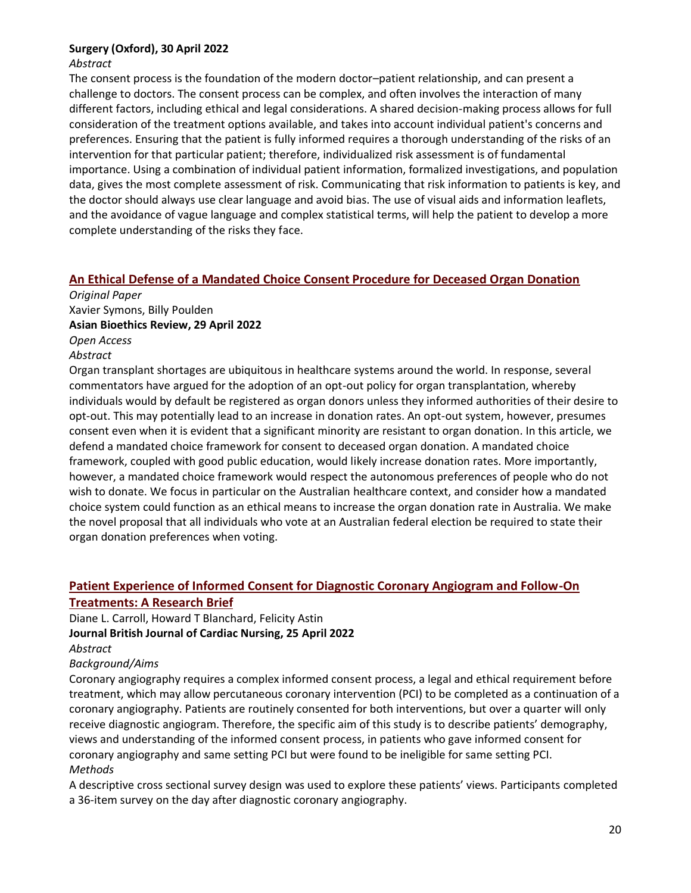#### **Surgery (Oxford), 30 April 2022**

#### *Abstract*

The consent process is the foundation of the modern doctor–patient relationship, and can present a challenge to doctors. The consent process can be complex, and often involves the interaction of many different factors, including ethical and legal considerations. A shared decision-making process allows for full consideration of the treatment options available, and takes into account individual patient's concerns and preferences. Ensuring that the patient is fully informed requires a thorough understanding of the risks of an intervention for that particular patient; therefore, individualized risk assessment is of fundamental importance. Using a combination of individual patient information, formalized investigations, and population data, gives the most complete assessment of risk. Communicating that risk information to patients is key, and the doctor should always use clear language and avoid bias. The use of visual aids and information leaflets, and the avoidance of vague language and complex statistical terms, will help the patient to develop a more complete understanding of the risks they face.

## **[An Ethical Defense of a Mandated Choice Consent Procedure for Deceased Organ Donation](https://link.springer.com/article/10.1007/s41649-022-00206-5)**

*Original Paper* Xavier Symons, Billy Poulden **Asian Bioethics Review, 29 April 2022** *Open Access Abstract* Organ transplant shortages are ubiquitous in healthcare systems around the world. In response, several commentators have argued for the adoption of an opt-out policy for organ transplantation, whereby individuals would by default be registered as organ donors unless they informed authorities of their desire to opt-out. This may potentially lead to an increase in donation rates. An opt-out system, however, presumes consent even when it is evident that a significant minority are resistant to organ donation. In this article, we defend a mandated choice framework for consent to deceased organ donation. A mandated choice

framework, coupled with good public education, would likely increase donation rates. More importantly, however, a mandated choice framework would respect the autonomous preferences of people who do not wish to donate. We focus in particular on the Australian healthcare context, and consider how a mandated choice system could function as an ethical means to increase the organ donation rate in Australia. We make the novel proposal that all individuals who vote at an Australian federal election be required to state their organ donation preferences when voting.

# **[Patient Experience of Informed Consent for Diagnostic Coronary Angiogram and Follow-On](https://pure.hud.ac.uk/en/publications/patient-experience-of-informed-consent-for-diagnostic-coronary-an)**

# **[Treatments: A Research Brief](https://pure.hud.ac.uk/en/publications/patient-experience-of-informed-consent-for-diagnostic-coronary-an)**

Diane L. Carroll, Howard T Blanchard, Felicity Astin **Journal British Journal of Cardiac Nursing, 25 April 2022** *Abstract*

#### *Background/Aims*

Coronary angiography requires a complex informed consent process, a legal and ethical requirement before treatment, which may allow percutaneous coronary intervention (PCI) to be completed as a continuation of a coronary angiography. Patients are routinely consented for both interventions, but over a quarter will only receive diagnostic angiogram. Therefore, the specific aim of this study is to describe patients' demography, views and understanding of the informed consent process, in patients who gave informed consent for coronary angiography and same setting PCI but were found to be ineligible for same setting PCI. *Methods*

A descriptive cross sectional survey design was used to explore these patients' views. Participants completed a 36-item survey on the day after diagnostic coronary angiography.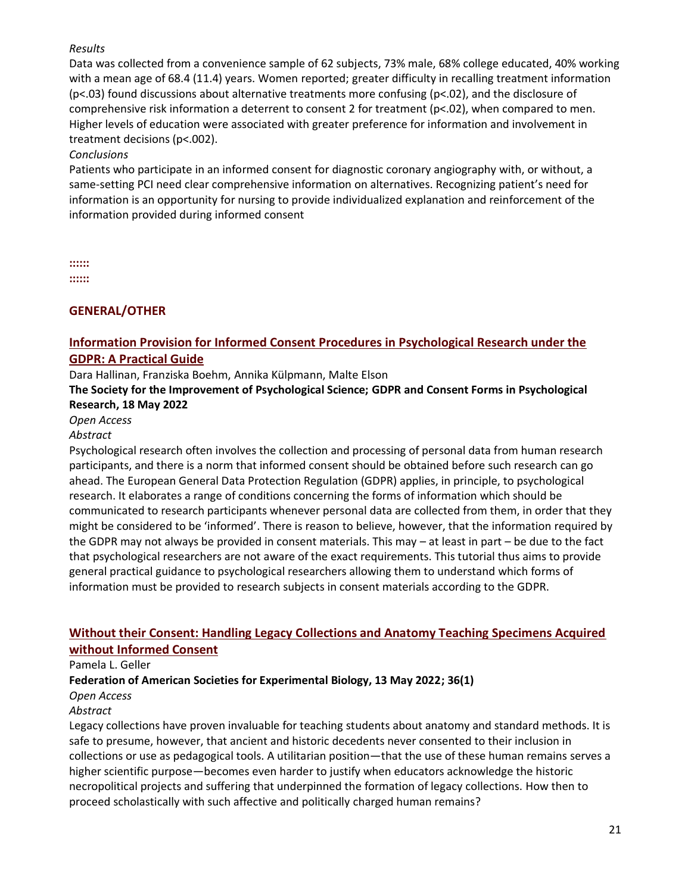#### *Results*

Data was collected from a convenience sample of 62 subjects, 73% male, 68% college educated, 40% working with a mean age of 68.4 (11.4) years. Women reported; greater difficulty in recalling treatment information (p<.03) found discussions about alternative treatments more confusing (p<.02), and the disclosure of comprehensive risk information a deterrent to consent 2 for treatment (p<.02), when compared to men. Higher levels of education were associated with greater preference for information and involvement in treatment decisions (p<.002).

## *Conclusions*

Patients who participate in an informed consent for diagnostic coronary angiography with, or without, a same-setting PCI need clear comprehensive information on alternatives. Recognizing patient's need for information is an opportunity for nursing to provide individualized explanation and reinforcement of the information provided during informed consent

**:::::: ::::::**

# **GENERAL/OTHER**

# **[Information Provision for Informed Consent Procedures in Psychological Research under the](https://psyarxiv.com/znb9m)  [GDPR: A Practical Guide](https://psyarxiv.com/znb9m)**

Dara Hallinan, Franziska Boehm, Annika Külpmann, Malte Elson

## **The Society for the Improvement of Psychological Science; GDPR and Consent Forms in Psychological Research, 18 May 2022**

#### *Open Access*

#### *Abstract*

Psychological research often involves the collection and processing of personal data from human research participants, and there is a norm that informed consent should be obtained before such research can go ahead. The European General Data Protection Regulation (GDPR) applies, in principle, to psychological research. It elaborates a range of conditions concerning the forms of information which should be communicated to research participants whenever personal data are collected from them, in order that they might be considered to be 'informed'. There is reason to believe, however, that the information required by the GDPR may not always be provided in consent materials. This may – at least in part – be due to the fact that psychological researchers are not aware of the exact requirements. This tutorial thus aims to provide general practical guidance to psychological researchers allowing them to understand which forms of information must be provided to research subjects in consent materials according to the GDPR.

# **[Without their Consent: Handling Legacy Collections and Anatomy Teaching Specimens Acquired](https://faseb.onlinelibrary.wiley.com/doi/abs/10.1096/fasebj.2022.36.S1.0I623)  [without Informed Consent](https://faseb.onlinelibrary.wiley.com/doi/abs/10.1096/fasebj.2022.36.S1.0I623)**

Pamela L. Geller

## **Federation of American Societies for Experimental Biology, 13 May 2022; 36(1)**

*Open Access*

#### *Abstract*

Legacy collections have proven invaluable for teaching students about anatomy and standard methods. It is safe to presume, however, that ancient and historic decedents never consented to their inclusion in collections or use as pedagogical tools. A utilitarian position—that the use of these human remains serves a higher scientific purpose—becomes even harder to justify when educators acknowledge the historic necropolitical projects and suffering that underpinned the formation of legacy collections. How then to proceed scholastically with such affective and politically charged human remains?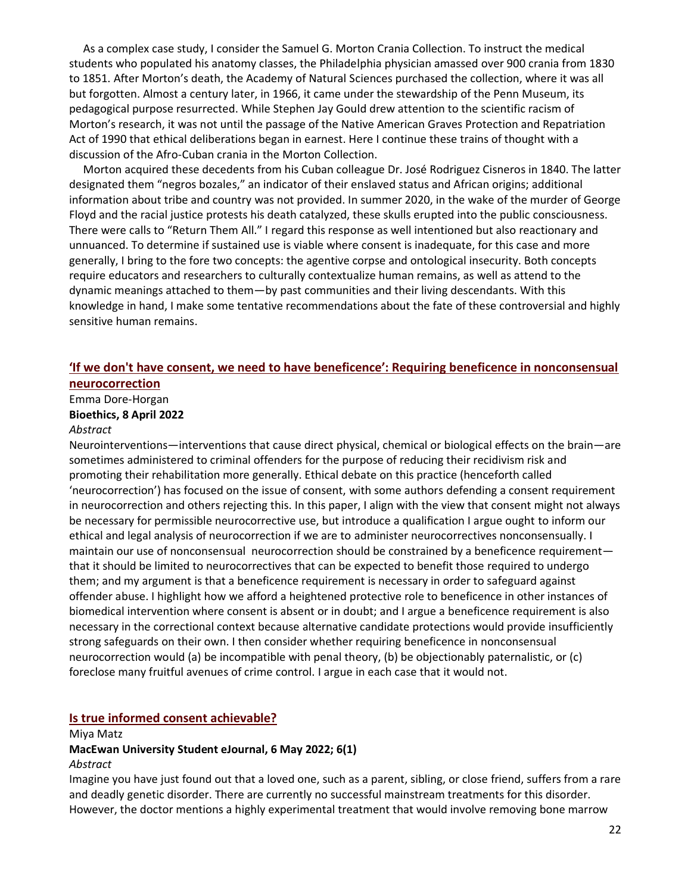As a complex case study, I consider the Samuel G. Morton Crania Collection. To instruct the medical students who populated his anatomy classes, the Philadelphia physician amassed over 900 crania from 1830 to 1851. After Morton's death, the Academy of Natural Sciences purchased the collection, where it was all but forgotten. Almost a century later, in 1966, it came under the stewardship of the Penn Museum, its pedagogical purpose resurrected. While Stephen Jay Gould drew attention to the scientific racism of Morton's research, it was not until the passage of the Native American Graves Protection and Repatriation Act of 1990 that ethical deliberations began in earnest. Here I continue these trains of thought with a discussion of the Afro-Cuban crania in the Morton Collection.

 Morton acquired these decedents from his Cuban colleague Dr. José Rodriguez Cisneros in 1840. The latter designated them "negros bozales," an indicator of their enslaved status and African origins; additional information about tribe and country was not provided. In summer 2020, in the wake of the murder of George Floyd and the racial justice protests his death catalyzed, these skulls erupted into the public consciousness. There were calls to "Return Them All." I regard this response as well intentioned but also reactionary and unnuanced. To determine if sustained use is viable where consent is inadequate, for this case and more generally, I bring to the fore two concepts: the agentive corpse and ontological insecurity. Both concepts require educators and researchers to culturally contextualize human remains, as well as attend to the dynamic meanings attached to them—by past communities and their living descendants. With this knowledge in hand, I make some tentative recommendations about the fate of these controversial and highly sensitive human remains.

#### **['If we don't have consent, we need to have beneficence': Requiring beneficence in nonconsensual](https://onlinelibrary.wiley.com/doi/pdf/10.1111/bioe.13043)**

#### **[neurocorrection](https://onlinelibrary.wiley.com/doi/pdf/10.1111/bioe.13043)**

Emma Dore‐Horgan

# **Bioethics, 8 April 2022**

#### *Abstract*

Neurointerventions—interventions that cause direct physical, chemical or biological effects on the brain—are sometimes administered to criminal offenders for the purpose of reducing their recidivism risk and promoting their rehabilitation more generally. Ethical debate on this practice (henceforth called 'neurocorrection') has focused on the issue of consent, with some authors defending a consent requirement in neurocorrection and others rejecting this. In this paper, I align with the view that consent might not always be necessary for permissible neurocorrective use, but introduce a qualification I argue ought to inform our ethical and legal analysis of neurocorrection if we are to administer neurocorrectives nonconsensually. I maintain our use of nonconsensual neurocorrection should be constrained by a beneficence requirement that it should be limited to neurocorrectives that can be expected to benefit those required to undergo them; and my argument is that a beneficence requirement is necessary in order to safeguard against offender abuse. I highlight how we afford a heightened protective role to beneficence in other instances of biomedical intervention where consent is absent or in doubt; and I argue a beneficence requirement is also necessary in the correctional context because alternative candidate protections would provide insufficiently strong safeguards on their own. I then consider whether requiring beneficence in nonconsensual neurocorrection would (a) be incompatible with penal theory, (b) be objectionably paternalistic, or (c) foreclose many fruitful avenues of crime control. I argue in each case that it would not.

#### **[Is true informed consent achievable?](https://journals.macewan.ca/muse/article/view/2254)**

#### Miya Matz

#### **MacEwan University Student eJournal, 6 May 2022; 6(1)**

#### *Abstract*

Imagine you have just found out that a loved one, such as a parent, sibling, or close friend, suffers from a rare and deadly genetic disorder. There are currently no successful mainstream treatments for this disorder. However, the doctor mentions a highly experimental treatment that would involve removing bone marrow